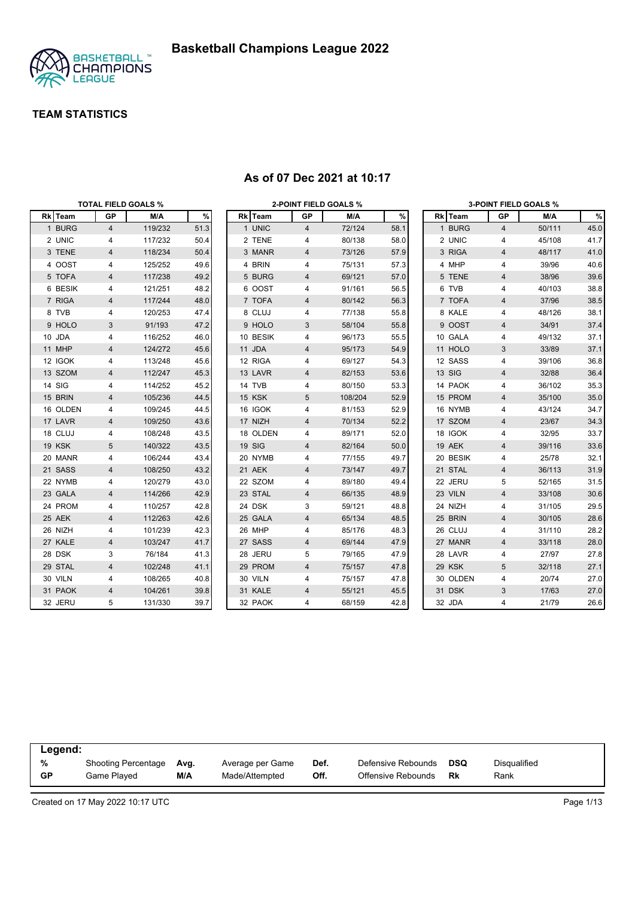

|          | <b>TOTAL FIELD GOALS %</b> |         |      |          |                | <b>2-POINT FIELD GOALS %</b> |      |          |                         | <b>3-POINT FIELD GOALS %</b> |      |
|----------|----------------------------|---------|------|----------|----------------|------------------------------|------|----------|-------------------------|------------------------------|------|
| Rk Team  | GP                         | M/A     | %    | Rk Team  | GP             | M/A                          | $\%$ | Rk Team  | GP                      | M/A                          | %    |
| 1 BURG   | $\overline{4}$             | 119/232 | 51.3 | 1 UNIC   | $\overline{4}$ | 72/124                       | 58.1 | 1 BURG   | $\overline{4}$          | 50/111                       | 45.0 |
| 2 UNIC   | 4                          | 117/232 | 50.4 | 2 TENE   | 4              | 80/138                       | 58.0 | 2 UNIC   | 4                       | 45/108                       | 41.7 |
| 3 TENE   | 4                          | 118/234 | 50.4 | 3 MANR   | 4              | 73/126                       | 57.9 | 3 RIGA   | $\overline{4}$          | 48/117                       | 41.0 |
| 4 OOST   | 4                          | 125/252 | 49.6 | 4 BRIN   | 4              | 75/131                       | 57.3 | 4 MHP    | 4                       | 39/96                        | 40.6 |
| 5 TOFA   | 4                          | 117/238 | 49.2 | 5 BURG   | 4              | 69/121                       | 57.0 | 5 TENE   | 4                       | 38/96                        | 39.6 |
| 6 BESIK  | 4                          | 121/251 | 48.2 | 6 OOST   | 4              | 91/161                       | 56.5 | 6 TVB    | 4                       | 40/103                       | 38.8 |
| 7 RIGA   | 4                          | 117/244 | 48.0 | 7 TOFA   | 4              | 80/142                       | 56.3 | 7 TOFA   | 4                       | 37/96                        | 38.5 |
| 8 TVB    | 4                          | 120/253 | 47.4 | 8 CLUJ   | 4              | 77/138                       | 55.8 | 8 KALE   | 4                       | 48/126                       | 38.1 |
| 9 HOLO   | 3                          | 91/193  | 47.2 | 9 HOLO   | 3              | 58/104                       | 55.8 | 9 OOST   | $\overline{4}$          | 34/91                        | 37.4 |
| 10 JDA   | 4                          | 116/252 | 46.0 | 10 BESIK | 4              | 96/173                       | 55.5 | 10 GALA  | 4                       | 49/132                       | 37.1 |
| 11 MHP   | 4                          | 124/272 | 45.6 | 11 JDA   | 4              | 95/173                       | 54.9 | 11 HOLO  | 3                       | 33/89                        | 37.1 |
| 12 IGOK  | 4                          | 113/248 | 45.6 | 12 RIGA  | 4              | 69/127                       | 54.3 | 12 SASS  | 4                       | 39/106                       | 36.8 |
| 13 SZOM  | 4                          | 112/247 | 45.3 | 13 LAVR  | 4              | 82/153                       | 53.6 | 13 SIG   | 4                       | 32/88                        | 36.4 |
| 14 SIG   | 4                          | 114/252 | 45.2 | 14 TVB   | 4              | 80/150                       | 53.3 | 14 PAOK  | 4                       | 36/102                       | 35.3 |
| 15 BRIN  | 4                          | 105/236 | 44.5 | 15 KSK   | 5              | 108/204                      | 52.9 | 15 PROM  | $\overline{4}$          | 35/100                       | 35.0 |
| 16 OLDEN | 4                          | 109/245 | 44.5 | 16 IGOK  | 4              | 81/153                       | 52.9 | 16 NYMB  | 4                       | 43/124                       | 34.7 |
| 17 LAVR  | 4                          | 109/250 | 43.6 | 17 NIZH  | 4              | 70/134                       | 52.2 | 17 SZOM  | 4                       | 23/67                        | 34.3 |
| 18 CLUJ  | 4                          | 108/248 | 43.5 | 18 OLDEN | 4              | 89/171                       | 52.0 | 18 IGOK  | 4                       | 32/95                        | 33.7 |
| 19 KSK   | 5                          | 140/322 | 43.5 | 19 SIG   | 4              | 82/164                       | 50.0 | 19 AEK   | $\overline{4}$          | 39/116                       | 33.6 |
| 20 MANR  | 4                          | 106/244 | 43.4 | 20 NYMB  | 4              | 77/155                       | 49.7 | 20 BESIK | 4                       | 25/78                        | 32.1 |
| 21 SASS  | 4                          | 108/250 | 43.2 | 21 AEK   | 4              | 73/147                       | 49.7 | 21 STAL  | $\overline{4}$          | 36/113                       | 31.9 |
| 22 NYMB  | 4                          | 120/279 | 43.0 | 22 SZOM  | 4              | 89/180                       | 49.4 | 22 JERU  | 5                       | 52/165                       | 31.5 |
| 23 GALA  | 4                          | 114/266 | 42.9 | 23 STAL  | 4              | 66/135                       | 48.9 | 23 VILN  | $\overline{\mathbf{4}}$ | 33/108                       | 30.6 |
| 24 PROM  | 4                          | 110/257 | 42.8 | 24 DSK   | 3              | 59/121                       | 48.8 | 24 NIZH  | 4                       | 31/105                       | 29.5 |
| 25 AEK   | 4                          | 112/263 | 42.6 | 25 GALA  | 4              | 65/134                       | 48.5 | 25 BRIN  | $\overline{4}$          | 30/105                       | 28.6 |
| 26 NIZH  | 4                          | 101/239 | 42.3 | 26 MHP   | 4              | 85/176                       | 48.3 | 26 CLUJ  | 4                       | 31/110                       | 28.2 |
| 27 KALE  | 4                          | 103/247 | 41.7 | 27 SASS  | 4              | 69/144                       | 47.9 | 27 MANR  | 4                       | 33/118                       | 28.0 |
| 28 DSK   | 3                          | 76/184  | 41.3 | 28 JERU  | 5              | 79/165                       | 47.9 | 28 LAVR  | 4                       | 27/97                        | 27.8 |
| 29 STAL  | 4                          | 102/248 | 41.1 | 29 PROM  | 4              | 75/157                       | 47.8 | 29 KSK   | 5                       | 32/118                       | 27.1 |
| 30 VILN  | 4                          | 108/265 | 40.8 | 30 VILN  | 4              | 75/157                       | 47.8 | 30 OLDEN | 4                       | 20/74                        | 27.0 |
| 31 PAOK  | $\overline{4}$             | 104/261 | 39.8 | 31 KALE  | 4              | 55/121                       | 45.5 | 31 DSK   | 3                       | 17/63                        | 27.0 |
| 32 JERU  | 5                          | 131/330 | 39.7 | 32 PAOK  | 4              | 68/159                       | 42.8 | 32 JDA   | 4                       | 21/79                        | 26.6 |

#### **As of 07 Dec 2021 at 10:17**

| Legend:   |                            |      |                  |      |                    |            |              |  |
|-----------|----------------------------|------|------------------|------|--------------------|------------|--------------|--|
| %         | <b>Shooting Percentage</b> | Avg. | Average per Game | Def. | Defensive Rebounds | <b>DSQ</b> | Disqualified |  |
| <b>GP</b> | Game Played                | M/A  | Made/Attempted   | Off. | Offensive Rebounds | Rk         | Rank         |  |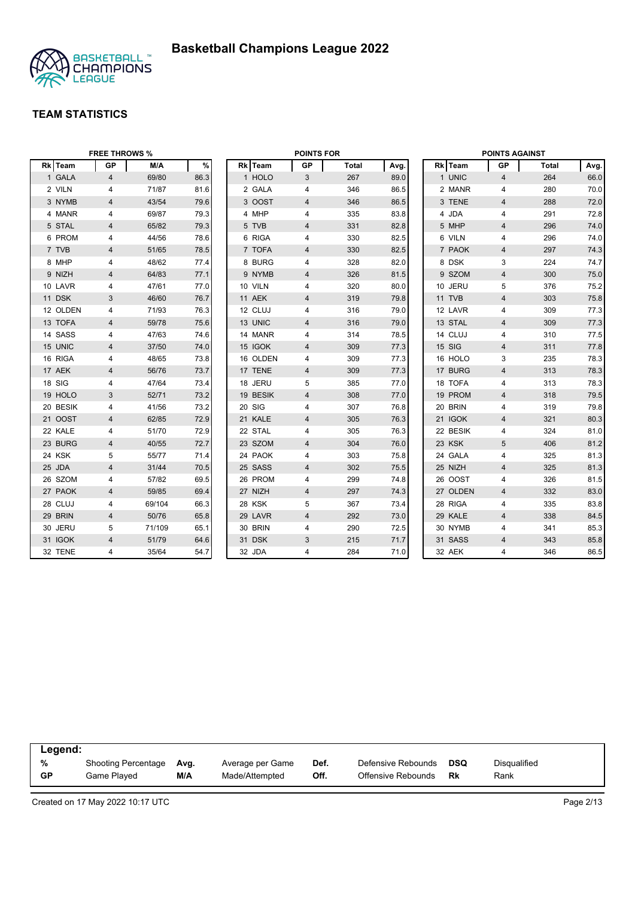

|          | <b>FREE THROWS %</b> |        |      |          | <b>POINTS FOR</b> |              |      |        |          | <b>POINTS AGAINST</b>   |       |      |
|----------|----------------------|--------|------|----------|-------------------|--------------|------|--------|----------|-------------------------|-------|------|
| Rk Team  | <b>GP</b>            | M/A    | $\%$ | Rk Team  | <b>GP</b>         | <b>Total</b> | Avg. |        | Rk Team  | GP                      | Total | Avg. |
| 1 GALA   | $\overline{4}$       | 69/80  | 86.3 | 1 HOLO   | 3                 | 267          | 89.0 |        | 1 UNIC   | $\overline{4}$          | 264   | 66.0 |
| 2 VILN   | 4                    | 71/87  | 81.6 | 2 GALA   | 4                 | 346          | 86.5 |        | 2 MANR   | 4                       | 280   | 70.0 |
| 3 NYMB   | $\overline{4}$       | 43/54  | 79.6 | 3 OOST   | 4                 | 346          | 86.5 |        | 3 TENE   | $\overline{4}$          | 288   | 72.0 |
| 4 MANR   | 4                    | 69/87  | 79.3 | 4 MHP    | 4                 | 335          | 83.8 |        | 4 JDA    | 4                       | 291   | 72.8 |
| 5 STAL   | 4                    | 65/82  | 79.3 | 5 TVB    | 4                 | 331          | 82.8 |        | 5 MHP    | 4                       | 296   | 74.0 |
| 6 PROM   | 4                    | 44/56  | 78.6 | 6 RIGA   | 4                 | 330          | 82.5 |        | 6 VILN   | 4                       | 296   | 74.0 |
| 7 TVB    | 4                    | 51/65  | 78.5 | 7 TOFA   | $\overline{4}$    | 330          | 82.5 |        | 7 PAOK   | $\overline{4}$          | 297   | 74.3 |
| 8 MHP    | 4                    | 48/62  | 77.4 | 8 BURG   | 4                 | 328          | 82.0 |        | 8 DSK    | 3                       | 224   | 74.7 |
| 9 NIZH   | 4                    | 64/83  | 77.1 | 9 NYMB   | 4                 | 326          | 81.5 |        | 9 SZOM   | $\overline{4}$          | 300   | 75.0 |
| 10 LAVR  | 4                    | 47/61  | 77.0 | 10 VILN  | 4                 | 320          | 80.0 |        | 10 JERU  | 5                       | 376   | 75.2 |
| 11 DSK   | 3                    | 46/60  | 76.7 | 11 AEK   | 4                 | 319          | 79.8 | 11 TVB |          | $\overline{4}$          | 303   | 75.8 |
| 12 OLDEN | 4                    | 71/93  | 76.3 | 12 CLUJ  | 4                 | 316          | 79.0 |        | 12 LAVR  | 4                       | 309   | 77.3 |
| 13 TOFA  | 4                    | 59/78  | 75.6 | 13 UNIC  | 4                 | 316          | 79.0 |        | 13 STAL  | $\overline{4}$          | 309   | 77.3 |
| 14 SASS  | 4                    | 47/63  | 74.6 | 14 MANR  | 4                 | 314          | 78.5 |        | 14 CLUJ  | 4                       | 310   | 77.5 |
| 15 UNIC  | 4                    | 37/50  | 74.0 | 15 IGOK  | 4                 | 309          | 77.3 | 15 SIG |          | $\overline{\mathbf{4}}$ | 311   | 77.8 |
| 16 RIGA  | 4                    | 48/65  | 73.8 | 16 OLDEN | 4                 | 309          | 77.3 |        | 16 HOLO  | 3                       | 235   | 78.3 |
| 17 AEK   | $\overline{4}$       | 56/76  | 73.7 | 17 TENE  | 4                 | 309          | 77.3 |        | 17 BURG  | $\overline{4}$          | 313   | 78.3 |
| 18 SIG   | 4                    | 47/64  | 73.4 | 18 JERU  | 5                 | 385          | 77.0 |        | 18 TOFA  | 4                       | 313   | 78.3 |
| 19 HOLO  | 3                    | 52/71  | 73.2 | 19 BESIK | 4                 | 308          | 77.0 |        | 19 PROM  | $\overline{4}$          | 318   | 79.5 |
| 20 BESIK | 4                    | 41/56  | 73.2 | 20 SIG   | 4                 | 307          | 76.8 |        | 20 BRIN  | 4                       | 319   | 79.8 |
| 21 OOST  | 4                    | 62/85  | 72.9 | 21 KALE  | 4                 | 305          | 76.3 |        | 21 IGOK  | $\overline{4}$          | 321   | 80.3 |
| 22 KALE  | 4                    | 51/70  | 72.9 | 22 STAL  | 4                 | 305          | 76.3 |        | 22 BESIK | 4                       | 324   | 81.0 |
| 23 BURG  | 4                    | 40/55  | 72.7 | 23 SZOM  | 4                 | 304          | 76.0 | 23 KSK |          | 5                       | 406   | 81.2 |
| 24 KSK   | 5                    | 55/77  | 71.4 | 24 PAOK  | 4                 | 303          | 75.8 |        | 24 GALA  | 4                       | 325   | 81.3 |
| 25 JDA   | $\overline{4}$       | 31/44  | 70.5 | 25 SASS  | 4                 | 302          | 75.5 |        | 25 NIZH  | $\overline{\mathbf{4}}$ | 325   | 81.3 |
| 26 SZOM  | 4                    | 57/82  | 69.5 | 26 PROM  | 4                 | 299          | 74.8 |        | 26 OOST  | 4                       | 326   | 81.5 |
| 27 PAOK  | $\overline{4}$       | 59/85  | 69.4 | 27 NIZH  | $\overline{4}$    | 297          | 74.3 |        | 27 OLDEN | $\overline{4}$          | 332   | 83.0 |
| 28 CLUJ  | 4                    | 69/104 | 66.3 | 28 KSK   | 5                 | 367          | 73.4 |        | 28 RIGA  | 4                       | 335   | 83.8 |
| 29 BRIN  | 4                    | 50/76  | 65.8 | 29 LAVR  | 4                 | 292          | 73.0 |        | 29 KALE  | $\overline{4}$          | 338   | 84.5 |
| 30 JERU  | 5                    | 71/109 | 65.1 | 30 BRIN  | 4                 | 290          | 72.5 |        | 30 NYMB  | 4                       | 341   | 85.3 |
| 31 IGOK  | $\overline{4}$       | 51/79  | 64.6 | 31 DSK   | 3                 | 215          | 71.7 |        | 31 SASS  | $\overline{4}$          | 343   | 85.8 |
| 32 TENE  | 4                    | 35/64  | 54.7 | 32 JDA   | 4                 | 284          | 71.0 | 32 AEK |          | 4                       | 346   | 86.5 |

| Legend:   |                            |      |                  |      |                    |     |              |
|-----------|----------------------------|------|------------------|------|--------------------|-----|--------------|
| %         | <b>Shooting Percentage</b> | Ava. | Average per Game | Def. | Defensive Rebounds | DSQ | Disqualified |
| <b>GP</b> | Game Played                | M/A  | Made/Attempted   | Off. | Offensive Rebounds | Rk  | Rank         |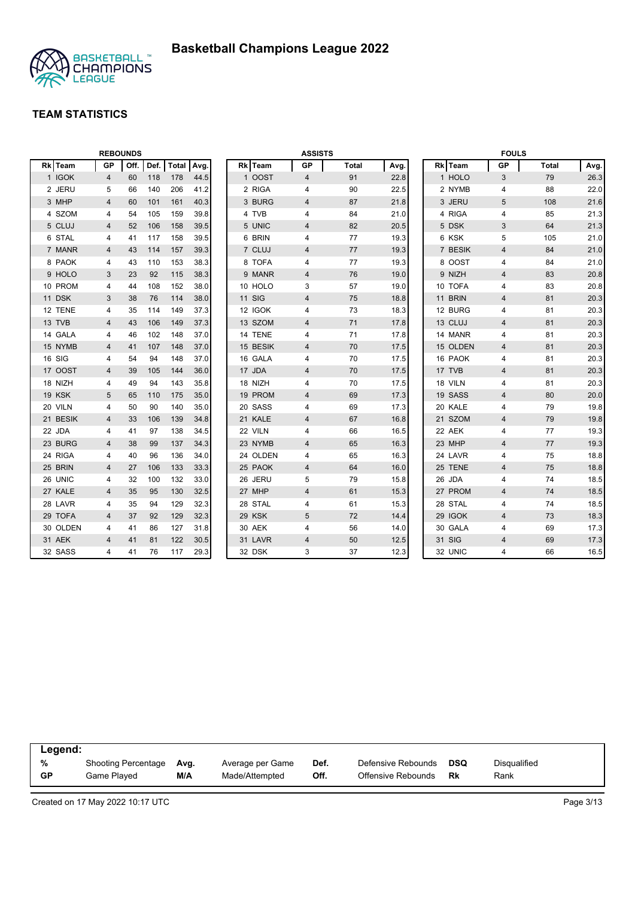

|          |                | <b>REBOUNDS</b> |      |              |      |               | <b>ASSISTS</b>          |              |      |          | <b>FOULS</b>   |              |      |
|----------|----------------|-----------------|------|--------------|------|---------------|-------------------------|--------------|------|----------|----------------|--------------|------|
| Rk Team  | <b>GP</b>      | Off.            | Def. | <b>Total</b> | Avg. | Rk Team       | <b>GP</b>               | <b>Total</b> | Avg. | Rk Team  | <b>GP</b>      | <b>Total</b> | Avg. |
| 1 IGOK   | 4              | 60              | 118  | 178          | 44.5 | 1 OOST        | 4                       | 91           | 22.8 | 1 HOLO   | 3              | 79           | 26.3 |
| 2 JERU   | 5              | 66              | 140  | 206          | 41.2 | 2 RIGA        | 4                       | 90           | 22.5 | 2 NYMB   | 4              | 88           | 22.0 |
| 3 MHP    | 4              | 60              | 101  | 161          | 40.3 | 3 BURG        | 4                       | 87           | 21.8 | 3 JERU   | 5              | 108          | 21.6 |
| 4 SZOM   | 4              | 54              | 105  | 159          | 39.8 | 4 TVB         | 4                       | 84           | 21.0 | 4 RIGA   | 4              | 85           | 21.3 |
| 5 CLUJ   | 4              | 52              | 106  | 158          | 39.5 | 5 UNIC        | 4                       | 82           | 20.5 | 5 DSK    | 3              | 64           | 21.3 |
| 6 STAL   | 4              | 41              | 117  | 158          | 39.5 | 6 BRIN        | 4                       | 77           | 19.3 | 6 KSK    | 5              | 105          | 21.0 |
| 7 MANR   | 4              | 43              | 114  | 157          | 39.3 | 7 CLUJ        | 4                       | 77           | 19.3 | 7 BESIK  | 4              | 84           | 21.0 |
| 8 PAOK   | 4              | 43              | 110  | 153          | 38.3 | 8 TOFA        | 4                       | 77           | 19.3 | 8 OOST   | 4              | 84           | 21.0 |
| 9 HOLO   | 3              | 23              | 92   | 115          | 38.3 | 9 MANR        | 4                       | 76           | 19.0 | 9 NIZH   | 4              | 83           | 20.8 |
| 10 PROM  | 4              | 44              | 108  | 152          | 38.0 | 10 HOLO       | 3                       | 57           | 19.0 | 10 TOFA  | 4              | 83           | 20.8 |
| 11 DSK   | 3              | 38              | 76   | 114          | 38.0 | <b>11 SIG</b> | $\overline{\mathbf{4}}$ | 75           | 18.8 | 11 BRIN  | 4              | 81           | 20.3 |
| 12 TENE  | 4              | 35              | 114  | 149          | 37.3 | 12 IGOK       | 4                       | 73           | 18.3 | 12 BURG  | $\overline{4}$ | 81           | 20.3 |
| 13 TVB   | 4              | 43              | 106  | 149          | 37.3 | 13 SZOM       | 4                       | 71           | 17.8 | 13 CLUJ  | $\overline{4}$ | 81           | 20.3 |
| 14 GALA  | 4              | 46              | 102  | 148          | 37.0 | 14 TENE       | 4                       | 71           | 17.8 | 14 MANR  | 4              | 81           | 20.3 |
| 15 NYMB  | 4              | 41              | 107  | 148          | 37.0 | 15 BESIK      | 4                       | 70           | 17.5 | 15 OLDEN | 4              | 81           | 20.3 |
| 16 SIG   | 4              | 54              | 94   | 148          | 37.0 | 16 GALA       | 4                       | 70           | 17.5 | 16 PAOK  | 4              | 81           | 20.3 |
| 17 OOST  | 4              | 39              | 105  | 144          | 36.0 | 17 JDA        | 4                       | 70           | 17.5 | 17 TVB   | $\overline{4}$ | 81           | 20.3 |
| 18 NIZH  | 4              | 49              | 94   | 143          | 35.8 | 18 NIZH       | 4                       | 70           | 17.5 | 18 VILN  | $\overline{4}$ | 81           | 20.3 |
| 19 KSK   | 5              | 65              | 110  | 175          | 35.0 | 19 PROM       | 4                       | 69           | 17.3 | 19 SASS  | $\overline{4}$ | 80           | 20.0 |
| 20 VILN  | 4              | 50              | 90   | 140          | 35.0 | 20 SASS       | 4                       | 69           | 17.3 | 20 KALE  | 4              | 79           | 19.8 |
| 21 BESIK | 4              | 33              | 106  | 139          | 34.8 | 21 KALE       | 4                       | 67           | 16.8 | 21 SZOM  | $\overline{4}$ | 79           | 19.8 |
| 22 JDA   | 4              | 41              | 97   | 138          | 34.5 | 22 VILN       | 4                       | 66           | 16.5 | 22 AEK   | 4              | 77           | 19.3 |
| 23 BURG  | 4              | 38              | 99   | 137          | 34.3 | 23 NYMB       | 4                       | 65           | 16.3 | 23 MHP   | $\overline{4}$ | 77           | 19.3 |
| 24 RIGA  | 4              | 40              | 96   | 136          | 34.0 | 24 OLDEN      | 4                       | 65           | 16.3 | 24 LAVR  | 4              | 75           | 18.8 |
| 25 BRIN  | 4              | 27              | 106  | 133          | 33.3 | 25 PAOK       | 4                       | 64           | 16.0 | 25 TENE  | 4              | 75           | 18.8 |
| 26 UNIC  | 4              | 32              | 100  | 132          | 33.0 | 26 JERU       | 5                       | 79           | 15.8 | 26 JDA   | 4              | 74           | 18.5 |
| 27 KALE  | $\overline{4}$ | 35              | 95   | 130          | 32.5 | 27 MHP        | 4                       | 61           | 15.3 | 27 PROM  | $\overline{4}$ | 74           | 18.5 |
| 28 LAVR  | 4              | 35              | 94   | 129          | 32.3 | 28 STAL       | 4                       | 61           | 15.3 | 28 STAL  | 4              | 74           | 18.5 |
| 29 TOFA  | 4              | 37              | 92   | 129          | 32.3 | 29 KSK        | 5                       | 72           | 14.4 | 29 IGOK  | $\overline{4}$ | 73           | 18.3 |
| 30 OLDEN | 4              | 41              | 86   | 127          | 31.8 | 30 AEK        | 4                       | 56           | 14.0 | 30 GALA  | 4              | 69           | 17.3 |
| 31 AEK   | 4              | 41              | 81   | 122          | 30.5 | 31 LAVR       | 4                       | 50           | 12.5 | 31 SIG   | 4              | 69           | 17.3 |
| 32 SASS  | 4              | 41              | 76   | 117          | 29.3 | 32 DSK        | 3                       | 37           | 12.3 | 32 UNIC  | $\overline{4}$ | 66           | 16.5 |

| Legend: |                            |      |                  |      |                    |     |              |
|---------|----------------------------|------|------------------|------|--------------------|-----|--------------|
| %       | <b>Shooting Percentage</b> | Avg. | Average per Game | Def. | Defensive Rebounds | DSQ | Disgualified |
| GP      | Game Plaved                | M/A  | Made/Attempted   | Off. | Offensive Rebounds | Rk  | Rank         |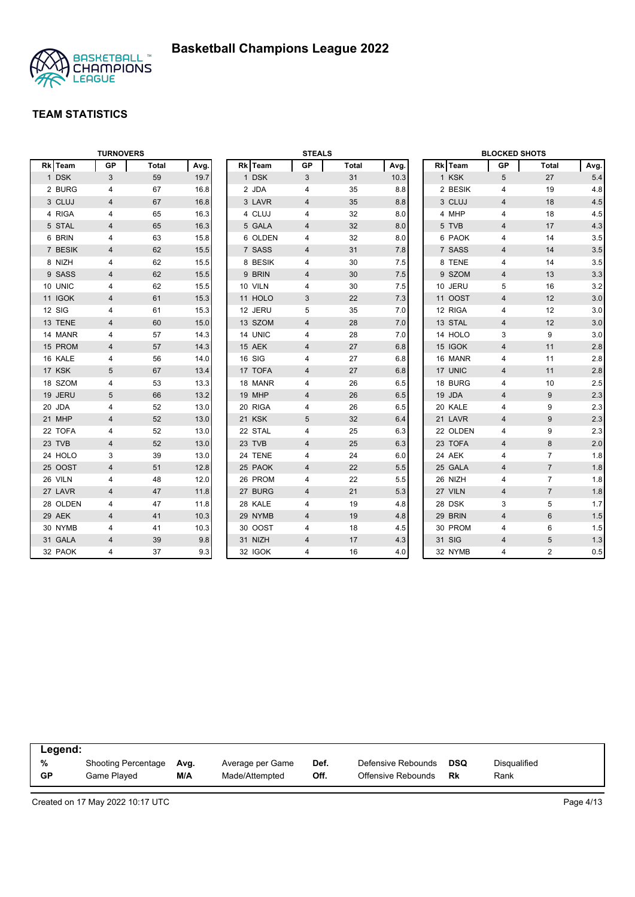

|          | <b>TURNOVERS</b> |       |      |         | <b>STEALS</b>  |              |      |          | <b>BLOCKED SHOTS</b> |                |         |
|----------|------------------|-------|------|---------|----------------|--------------|------|----------|----------------------|----------------|---------|
| Rk Team  | <b>GP</b>        | Total | Avg. | Rk Team | GP             | <b>Total</b> | Avg. | Rk Team  | GP                   | Total          | Avg.    |
| 1 DSK    | 3                | 59    | 19.7 | 1 DSK   | 3              | 31           | 10.3 | 1 KSK    | 5                    | 27             | 5.4     |
| 2 BURG   | 4                | 67    | 16.8 | 2 JDA   | 4              | 35           | 8.8  | 2 BESIK  | 4                    | 19             | 4.8     |
| 3 CLUJ   | $\overline{4}$   | 67    | 16.8 | 3 LAVR  | 4              | 35           | 8.8  | 3 CLUJ   | $\overline{4}$       | 18             | 4.5     |
| 4 RIGA   | 4                | 65    | 16.3 | 4 CLUJ  | 4              | 32           | 8.0  | 4 MHP    | 4                    | 18             | 4.5     |
| 5 STAL   | 4                | 65    | 16.3 | 5 GALA  | 4              | 32           | 8.0  | 5 TVB    | 4                    | 17             | 4.3     |
| 6 BRIN   | 4                | 63    | 15.8 | 6 OLDEN | 4              | 32           | 8.0  | 6 PAOK   | $\overline{4}$       | 14             | 3.5     |
| 7 BESIK  | 4                | 62    | 15.5 | 7 SASS  | 4              | 31           | 7.8  | 7 SASS   | $\overline{4}$       | 14             | 3.5     |
| 8 NIZH   | 4                | 62    | 15.5 | 8 BESIK | 4              | 30           | 7.5  | 8 TENE   | 4                    | 14             | 3.5     |
| 9 SASS   | 4                | 62    | 15.5 | 9 BRIN  | 4              | 30           | 7.5  | 9 SZOM   | 4                    | 13             | 3.3     |
| 10 UNIC  | 4                | 62    | 15.5 | 10 VILN | 4              | 30           | 7.5  | 10 JERU  | 5                    | 16             | 3.2     |
| 11 IGOK  | 4                | 61    | 15.3 | 11 HOLO | 3              | 22           | 7.3  | 11 OOST  | $\overline{4}$       | 12             | 3.0     |
| 12 SIG   | 4                | 61    | 15.3 | 12 JERU | 5              | 35           | 7.0  | 12 RIGA  | 4                    | 12             | 3.0     |
| 13 TENE  | $\overline{4}$   | 60    | 15.0 | 13 SZOM | 4              | 28           | 7.0  | 13 STAL  | $\overline{4}$       | 12             | 3.0     |
| 14 MANR  | $\overline{4}$   | 57    | 14.3 | 14 UNIC | 4              | 28           | 7.0  | 14 HOLO  | 3                    | 9              | 3.0     |
| 15 PROM  | 4                | 57    | 14.3 | 15 AEK  | 4              | 27           | 6.8  | 15 IGOK  | $\overline{4}$       | 11             | $2.8\,$ |
| 16 KALE  | 4                | 56    | 14.0 | 16 SIG  | 4              | 27           | 6.8  | 16 MANR  | 4                    | 11             | 2.8     |
| 17 KSK   | 5                | 67    | 13.4 | 17 TOFA | $\overline{4}$ | 27           | 6.8  | 17 UNIC  | $\overline{4}$       | 11             | 2.8     |
| 18 SZOM  | 4                | 53    | 13.3 | 18 MANR | 4              | 26           | 6.5  | 18 BURG  | $\overline{4}$       | 10             | 2.5     |
| 19 JERU  | 5                | 66    | 13.2 | 19 MHP  | 4              | 26           | 6.5  | 19 JDA   | $\overline{4}$       | 9              | 2.3     |
| 20 JDA   | 4                | 52    | 13.0 | 20 RIGA | 4              | 26           | 6.5  | 20 KALE  | 4                    | 9              | 2.3     |
| 21 MHP   | 4                | 52    | 13.0 | 21 KSK  | 5              | 32           | 6.4  | 21 LAVR  | $\overline{4}$       | 9              | 2.3     |
| 22 TOFA  | 4                | 52    | 13.0 | 22 STAL | 4              | 25           | 6.3  | 22 OLDEN | 4                    | 9              | 2.3     |
| 23 TVB   | 4                | 52    | 13.0 | 23 TVB  | 4              | 25           | 6.3  | 23 TOFA  | $\overline{4}$       | 8              | 2.0     |
| 24 HOLO  | 3                | 39    | 13.0 | 24 TENE | 4              | 24           | 6.0  | 24 AEK   | 4                    | $\overline{7}$ | 1.8     |
| 25 OOST  | $\overline{4}$   | 51    | 12.8 | 25 PAOK | 4              | 22           | 5.5  | 25 GALA  | $\overline{4}$       | $\overline{7}$ | 1.8     |
| 26 VILN  | 4                | 48    | 12.0 | 26 PROM | 4              | 22           | 5.5  | 26 NIZH  | $\overline{4}$       | $\overline{7}$ | 1.8     |
| 27 LAVR  | $\overline{4}$   | 47    | 11.8 | 27 BURG | $\overline{4}$ | 21           | 5.3  | 27 VILN  | $\overline{4}$       | $\overline{7}$ | 1.8     |
| 28 OLDEN | 4                | 47    | 11.8 | 28 KALE | 4              | 19           | 4.8  | 28 DSK   | 3                    | 5              | $1.7$   |
| 29 AEK   | 4                | 41    | 10.3 | 29 NYMB | 4              | 19           | 4.8  | 29 BRIN  | $\overline{4}$       | 6              | 1.5     |
| 30 NYMB  | 4                | 41    | 10.3 | 30 OOST | 4              | 18           | 4.5  | 30 PROM  | 4                    | 6              | 1.5     |
| 31 GALA  | $\overline{4}$   | 39    | 9.8  | 31 NIZH | $\overline{4}$ | 17           | 4.3  | 31 SIG   | $\overline{4}$       | 5              | 1.3     |
| 32 PAOK  | 4                | 37    | 9.3  | 32 IGOK | 4              | 16           | 4.0  | 32 NYMB  | 4                    | $\overline{2}$ | 0.5     |

| Legend: |                     |      |                  |      |                    |     |              |
|---------|---------------------|------|------------------|------|--------------------|-----|--------------|
| %       | Shooting Percentage | Ava. | Average per Game | Def. | Defensive Rebounds | DSQ | Disqualified |
| GP      | Game Played         | M/A  | Made/Attempted   | Off. | Offensive Rebounds | Rk  | Rank         |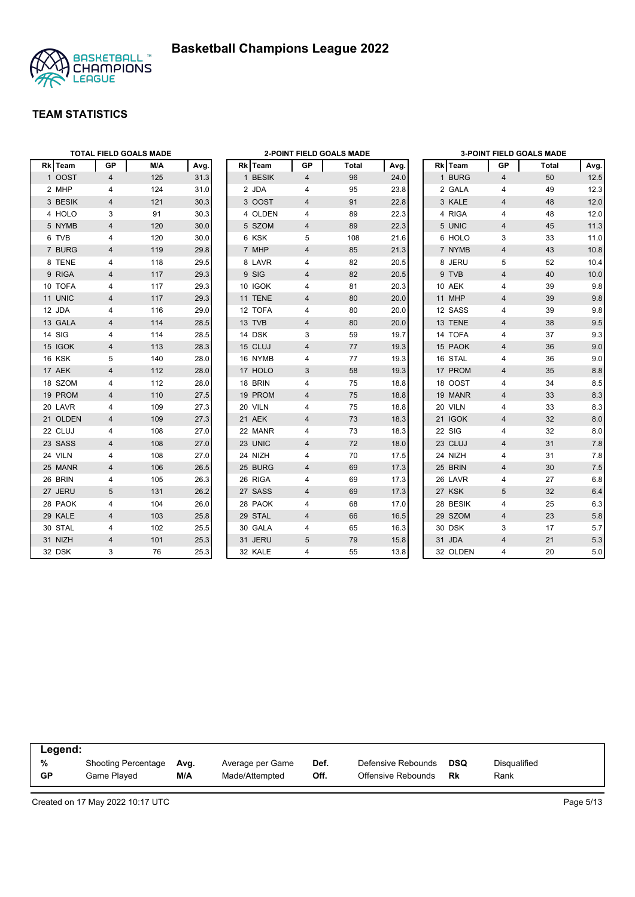



|          |                | <b>TOTAL FIELD GOALS MADE</b> |      |               |                | <b>2-POINT FIELD GOALS MADE</b> |      |          |                | <b>3-POINT FIELD GOALS MADE</b> |         |
|----------|----------------|-------------------------------|------|---------------|----------------|---------------------------------|------|----------|----------------|---------------------------------|---------|
| Rk Team  | GP             | M/A                           | Avg. | Rk Team       | GP             | Total                           | Avg. | Rk Team  | GР             | Total                           | Avg.    |
| 1 OOST   | 4              | 125                           | 31.3 | 1 BESIK       | 4              | 96                              | 24.0 | 1 BURG   | $\overline{4}$ | 50                              | 12.5    |
| 2 MHP    | 4              | 124                           | 31.0 | 2 JDA         | 4              | 95                              | 23.8 | 2 GALA   | 4              | 49                              | 12.3    |
| 3 BESIK  | $\overline{4}$ | 121                           | 30.3 | 3 OOST        | $\overline{4}$ | 91                              | 22.8 | 3 KALE   | $\overline{4}$ | 48                              | 12.0    |
| 4 HOLO   | 3              | 91                            | 30.3 | 4 OLDEN       | 4              | 89                              | 22.3 | 4 RIGA   | $\overline{4}$ | 48                              | 12.0    |
| 5 NYMB   | 4              | 120                           | 30.0 | 5 SZOM        | 4              | 89                              | 22.3 | 5 UNIC   | 4              | 45                              | 11.3    |
| 6 TVB    | 4              | 120                           | 30.0 | 6 KSK         | 5              | 108                             | 21.6 | 6 HOLO   | 3              | 33                              | 11.0    |
| 7 BURG   | $\overline{4}$ | 119                           | 29.8 | 7 MHP         | $\overline{4}$ | 85                              | 21.3 | 7 NYMB   | $\overline{4}$ | 43                              | 10.8    |
| 8 TENE   | 4              | 118                           | 29.5 | 8 LAVR        | 4              | 82                              | 20.5 | 8 JERU   | 5              | 52                              | 10.4    |
| 9 RIGA   | $\overline{4}$ | 117                           | 29.3 | 9 SIG         | $\overline{4}$ | 82                              | 20.5 | 9 TVB    | $\overline{4}$ | 40                              | 10.0    |
| 10 TOFA  | 4              | 117                           | 29.3 | 10 IGOK       | 4              | 81                              | 20.3 | 10 AEK   | 4              | 39                              | 9.8     |
| 11 UNIC  | 4              | 117                           | 29.3 | 11 TENE       | 4              | 80                              | 20.0 | 11 MHP   | $\overline{4}$ | 39                              | $9.8\,$ |
| 12 JDA   | 4              | 116                           | 29.0 | 12 TOFA       | 4              | 80                              | 20.0 | 12 SASS  | $\overline{4}$ | 39                              | 9.8     |
| 13 GALA  | 4              | 114                           | 28.5 | 13 TVB        | 4              | 80                              | 20.0 | 13 TENE  | $\overline{4}$ | 38                              | 9.5     |
| 14 SIG   | 4              | 114                           | 28.5 | 14 DSK        | 3              | 59                              | 19.7 | 14 TOFA  | 4              | 37                              | 9.3     |
| 15 IGOK  | 4              | 113                           | 28.3 | 15 CLUJ       | $\overline{4}$ | 77                              | 19.3 | 15 PAOK  | $\overline{4}$ | 36                              | 9.0     |
| 16 KSK   | 5              | 140                           | 28.0 | 16 NYMB       | 4              | 77                              | 19.3 | 16 STAL  | 4              | 36                              | 9.0     |
| 17 AEK   | $\overline{4}$ | 112                           | 28.0 | 17 HOLO       | 3              | 58                              | 19.3 | 17 PROM  | $\overline{4}$ | 35                              | 8.8     |
| 18 SZOM  | 4              | 112                           | 28.0 | 18 BRIN       | 4              | 75                              | 18.8 | 18 OOST  | $\overline{4}$ | 34                              | 8.5     |
| 19 PROM  | 4              | 110                           | 27.5 | 19 PROM       | 4              | 75                              | 18.8 | 19 MANR  | $\overline{4}$ | 33                              | 8.3     |
| 20 LAVR  | 4              | 109                           | 27.3 | 20 VILN       | 4              | 75                              | 18.8 | 20 VILN  | 4              | 33                              | 8.3     |
| 21 OLDEN | 4              | 109                           | 27.3 | <b>21 AEK</b> | $\overline{4}$ | 73                              | 18.3 | 21 IGOK  | $\overline{4}$ | 32                              | 8.0     |
| 22 CLUJ  | 4              | 108                           | 27.0 | 22 MANR       | 4              | 73                              | 18.3 | 22 SIG   | 4              | 32                              | 8.0     |
| 23 SASS  | 4              | 108                           | 27.0 | 23 UNIC       | 4              | 72                              | 18.0 | 23 CLUJ  | $\overline{4}$ | 31                              | 7.8     |
| 24 VILN  | 4              | 108                           | 27.0 | 24 NIZH       | 4              | 70                              | 17.5 | 24 NIZH  | 4              | 31                              | 7.8     |
| 25 MANR  | 4              | 106                           | 26.5 | 25 BURG       | 4              | 69                              | 17.3 | 25 BRIN  | 4              | 30                              | $7.5$   |
| 26 BRIN  | 4              | 105                           | 26.3 | 26 RIGA       | 4              | 69                              | 17.3 | 26 LAVR  | $\overline{4}$ | 27                              | 6.8     |
| 27 JERU  | 5              | 131                           | 26.2 | 27 SASS       | $\overline{4}$ | 69                              | 17.3 | 27 KSK   | 5              | 32                              | 6.4     |
| 28 PAOK  | 4              | 104                           | 26.0 | 28 PAOK       | 4              | 68                              | 17.0 | 28 BESIK | $\overline{4}$ | 25                              | 6.3     |
| 29 KALE  | $\overline{4}$ | 103                           | 25.8 | 29 STAL       | $\overline{4}$ | 66                              | 16.5 | 29 SZOM  | $\overline{4}$ | 23                              | 5.8     |
| 30 STAL  | 4              | 102                           | 25.5 | 30 GALA       | 4              | 65                              | 16.3 | 30 DSK   | 3              | 17                              | 5.7     |
| 31 NIZH  | $\overline{4}$ | 101                           | 25.3 | 31 JERU       | 5              | 79                              | 15.8 | 31 JDA   | $\overline{4}$ | 21                              | 5.3     |
| 32 DSK   | 3              | 76                            | 25.3 | 32 KALE       | 4              | 55                              | 13.8 | 32 OLDEN | 4              | 20                              | 5.0     |

| Legend:   |                            |      |                  |      |                    |            |              |  |
|-----------|----------------------------|------|------------------|------|--------------------|------------|--------------|--|
| %         | <b>Shooting Percentage</b> | Avg. | Average per Game | Def. | Defensive Rebounds | <b>DSQ</b> | Disqualified |  |
| <b>GP</b> | Game Played                | M/A  | Made/Attempted   | Off. | Offensive Rebounds | Rk         | Rank         |  |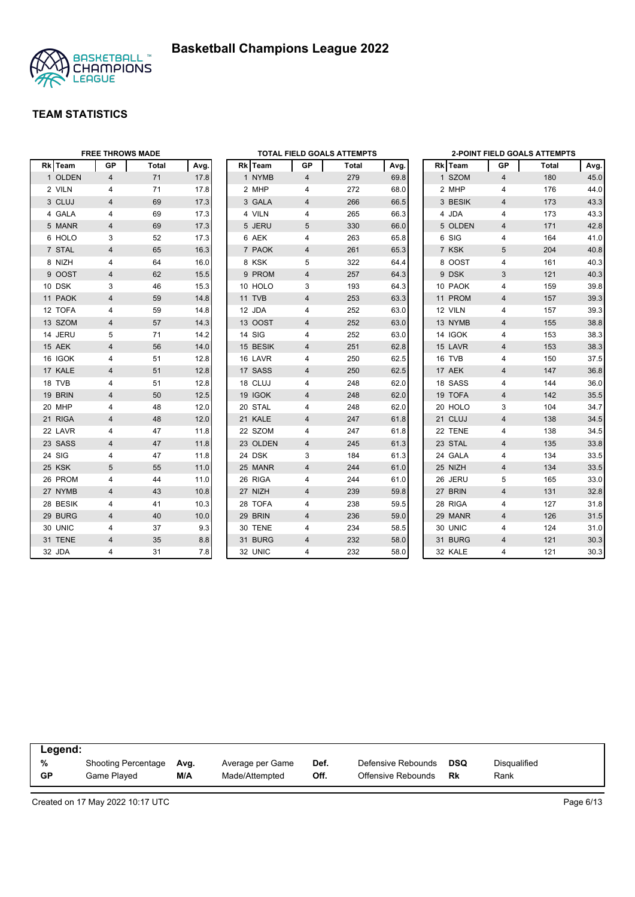



|          | <b>FREE THROWS MADE</b> |       |      |          |                | <b>TOTAL FIELD GOALS ATTEMPTS</b> |      |         |                         | 2-POINT FIELD GOALS ATTEMPTS |      |
|----------|-------------------------|-------|------|----------|----------------|-----------------------------------|------|---------|-------------------------|------------------------------|------|
| Rk Team  | <b>GP</b>               | Total | Avg. | Rk Team  | GP             | Total                             | Avg. | Rk Team | GР                      | Total                        | Avg. |
| 1 OLDEN  | $\overline{4}$          | 71    | 17.8 | 1 NYMB   | 4              | 279                               | 69.8 | 1 SZOM  | 4                       | 180                          | 45.0 |
| 2 VILN   | 4                       | 71    | 17.8 | 2 MHP    | 4              | 272                               | 68.0 | 2 MHP   | 4                       | 176                          | 44.0 |
| 3 CLUJ   | $\overline{4}$          | 69    | 17.3 | 3 GALA   | $\overline{4}$ | 266                               | 66.5 | 3 BESIK | $\overline{4}$          | 173                          | 43.3 |
| 4 GALA   | 4                       | 69    | 17.3 | 4 VILN   | 4              | 265                               | 66.3 | 4 JDA   | 4                       | 173                          | 43.3 |
| 5 MANR   | 4                       | 69    | 17.3 | 5 JERU   | 5              | 330                               | 66.0 | 5 OLDEN | $\overline{4}$          | 171                          | 42.8 |
| 6 HOLO   | 3                       | 52    | 17.3 | 6 AEK    | 4              | 263                               | 65.8 | 6 SIG   | 4                       | 164                          | 41.0 |
| 7 STAL   | 4                       | 65    | 16.3 | 7 PAOK   | 4              | 261                               | 65.3 | 7 KSK   | 5                       | 204                          | 40.8 |
| 8 NIZH   | 4                       | 64    | 16.0 | 8 KSK    | 5              | 322                               | 64.4 | 8 OOST  | 4                       | 161                          | 40.3 |
| 9 OOST   | 4                       | 62    | 15.5 | 9 PROM   | 4              | 257                               | 64.3 | 9 DSK   | 3                       | 121                          | 40.3 |
| 10 DSK   | 3                       | 46    | 15.3 | 10 HOLO  | 3              | 193                               | 64.3 | 10 PAOK | 4                       | 159                          | 39.8 |
| 11 PAOK  | 4                       | 59    | 14.8 | 11 TVB   | 4              | 253                               | 63.3 | 11 PROM | $\overline{4}$          | 157                          | 39.3 |
| 12 TOFA  | 4                       | 59    | 14.8 | 12 JDA   | 4              | 252                               | 63.0 | 12 VILN | 4                       | 157                          | 39.3 |
| 13 SZOM  | 4                       | 57    | 14.3 | 13 OOST  | 4              | 252                               | 63.0 | 13 NYMB | $\overline{\mathbf{4}}$ | 155                          | 38.8 |
| 14 JERU  | 5                       | 71    | 14.2 | 14 SIG   | 4              | 252                               | 63.0 | 14 IGOK | $\overline{4}$          | 153                          | 38.3 |
| 15 AEK   | 4                       | 56    | 14.0 | 15 BESIK | 4              | 251                               | 62.8 | 15 LAVR | $\overline{4}$          | 153                          | 38.3 |
| 16 IGOK  | 4                       | 51    | 12.8 | 16 LAVR  | 4              | 250                               | 62.5 | 16 TVB  | 4                       | 150                          | 37.5 |
| 17 KALE  | $\overline{\mathbf{4}}$ | 51    | 12.8 | 17 SASS  | 4              | 250                               | 62.5 | 17 AEK  | $\overline{4}$          | 147                          | 36.8 |
| 18 TVB   | 4                       | 51    | 12.8 | 18 CLUJ  | 4              | 248                               | 62.0 | 18 SASS | 4                       | 144                          | 36.0 |
| 19 BRIN  | 4                       | 50    | 12.5 | 19 IGOK  | 4              | 248                               | 62.0 | 19 TOFA | $\overline{4}$          | 142                          | 35.5 |
| 20 MHP   | 4                       | 48    | 12.0 | 20 STAL  | 4              | 248                               | 62.0 | 20 HOLO | 3                       | 104                          | 34.7 |
| 21 RIGA  | 4                       | 48    | 12.0 | 21 KALE  | 4              | 247                               | 61.8 | 21 CLUJ | $\overline{4}$          | 138                          | 34.5 |
| 22 LAVR  | 4                       | 47    | 11.8 | 22 SZOM  | 4              | 247                               | 61.8 | 22 TENE | 4                       | 138                          | 34.5 |
| 23 SASS  | 4                       | 47    | 11.8 | 23 OLDEN | 4              | 245                               | 61.3 | 23 STAL | $\overline{\mathbf{4}}$ | 135                          | 33.8 |
| 24 SIG   | 4                       | 47    | 11.8 | 24 DSK   | 3              | 184                               | 61.3 | 24 GALA | 4                       | 134                          | 33.5 |
| 25 KSK   | 5                       | 55    | 11.0 | 25 MANR  | 4              | 244                               | 61.0 | 25 NIZH | $\overline{\mathbf{4}}$ | 134                          | 33.5 |
| 26 PROM  | 4                       | 44    | 11.0 | 26 RIGA  | 4              | 244                               | 61.0 | 26 JERU | 5                       | 165                          | 33.0 |
| 27 NYMB  | $\overline{\mathbf{4}}$ | 43    | 10.8 | 27 NIZH  | 4              | 239                               | 59.8 | 27 BRIN | $\overline{4}$          | 131                          | 32.8 |
| 28 BESIK | 4                       | 41    | 10.3 | 28 TOFA  | 4              | 238                               | 59.5 | 28 RIGA | 4                       | 127                          | 31.8 |
| 29 BURG  | 4                       | 40    | 10.0 | 29 BRIN  | 4              | 236                               | 59.0 | 29 MANR | $\overline{4}$          | 126                          | 31.5 |
| 30 UNIC  | 4                       | 37    | 9.3  | 30 TENE  | 4              | 234                               | 58.5 | 30 UNIC | 4                       | 124                          | 31.0 |
| 31 TENE  | $\overline{4}$          | 35    | 8.8  | 31 BURG  | 4              | 232                               | 58.0 | 31 BURG | $\overline{4}$          | 121                          | 30.3 |
| 32 JDA   | 4                       | 31    | 7.8  | 32 UNIC  | 4              | 232                               | 58.0 | 32 KALE | $\overline{4}$          | 121                          | 30.3 |

| Legend: |                     |      |                  |      |                    |     |              |
|---------|---------------------|------|------------------|------|--------------------|-----|--------------|
| %       | Shooting Percentage | Avg. | Average per Game | Def. | Defensive Rebounds | DSQ | Disgualified |
| GP      | Game Plaved         | M/A  | Made/Attempted   | Off. | Offensive Rebounds | Rk  | Rank         |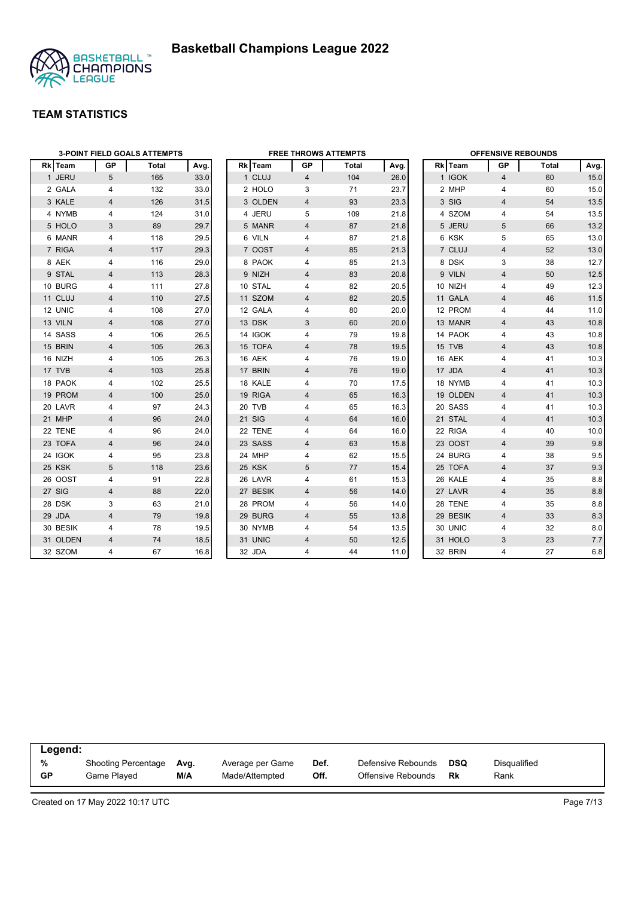

|                | <b>3-POINT FIELD GOALS ATTEMPTS</b> |       |      |  |          | <b>FREE THROWS ATTEMPTS</b> |       |      |  |          | <b>OFFENSIVE REBOUNDS</b> |       |      |  |  |
|----------------|-------------------------------------|-------|------|--|----------|-----------------------------|-------|------|--|----------|---------------------------|-------|------|--|--|
| <b>Rk</b> Team | GP                                  | Total | Avg. |  | Rk Team  | GP                          | Total | Avg. |  | Rk Team  | GP                        | Total | Avg. |  |  |
| 1 JERU         | 5                                   | 165   | 33.0 |  | 1 CLUJ   | 4                           | 104   | 26.0 |  | 1 IGOK   | 4                         | 60    | 15.0 |  |  |
| 2 GALA         | 4                                   | 132   | 33.0 |  | 2 HOLO   | 3                           | 71    | 23.7 |  | 2 MHP    | $\overline{4}$            | 60    | 15.0 |  |  |
| 3 KALE         | $\overline{4}$                      | 126   | 31.5 |  | 3 OLDEN  | 4                           | 93    | 23.3 |  | 3 SIG    | $\overline{4}$            | 54    | 13.5 |  |  |
| 4 NYMB         | 4                                   | 124   | 31.0 |  | 4 JERU   | 5                           | 109   | 21.8 |  | 4 SZOM   | 4                         | 54    | 13.5 |  |  |
| 5 HOLO         | 3                                   | 89    | 29.7 |  | 5 MANR   | $\overline{4}$              | 87    | 21.8 |  | 5 JERU   | 5                         | 66    | 13.2 |  |  |
| 6 MANR         | 4                                   | 118   | 29.5 |  | 6 VILN   | 4                           | 87    | 21.8 |  | 6 KSK    | 5                         | 65    | 13.0 |  |  |
| 7 RIGA         | $\overline{4}$                      | 117   | 29.3 |  | 7 OOST   | $\overline{4}$              | 85    | 21.3 |  | 7 CLUJ   | $\overline{4}$            | 52    | 13.0 |  |  |
| 8 AEK          | 4                                   | 116   | 29.0 |  | 8 PAOK   | 4                           | 85    | 21.3 |  | 8 DSK    | 3                         | 38    | 12.7 |  |  |
| 9 STAL         | 4                                   | 113   | 28.3 |  | 9 NIZH   | 4                           | 83    | 20.8 |  | 9 VILN   | $\overline{4}$            | 50    | 12.5 |  |  |
| 10 BURG        | 4                                   | 111   | 27.8 |  | 10 STAL  | 4                           | 82    | 20.5 |  | 10 NIZH  | 4                         | 49    | 12.3 |  |  |
| 11 CLUJ        | $\overline{4}$                      | 110   | 27.5 |  | 11 SZOM  | $\overline{4}$              | 82    | 20.5 |  | 11 GALA  | $\overline{4}$            | 46    | 11.5 |  |  |
| 12 UNIC        | 4                                   | 108   | 27.0 |  | 12 GALA  | 4                           | 80    | 20.0 |  | 12 PROM  | 4                         | 44    | 11.0 |  |  |
| 13 VILN        | 4                                   | 108   | 27.0 |  | 13 DSK   | 3                           | 60    | 20.0 |  | 13 MANR  | 4                         | 43    | 10.8 |  |  |
| 14 SASS        | $\overline{4}$                      | 106   | 26.5 |  | 14 IGOK  | 4                           | 79    | 19.8 |  | 14 PAOK  | $\overline{4}$            | 43    | 10.8 |  |  |
| 15 BRIN        | 4                                   | 105   | 26.3 |  | 15 TOFA  | 4                           | 78    | 19.5 |  | 15 TVB   | $\overline{\mathbf{4}}$   | 43    | 10.8 |  |  |
| 16 NIZH        | 4                                   | 105   | 26.3 |  | 16 AEK   | 4                           | 76    | 19.0 |  | 16 AEK   | 4                         | 41    | 10.3 |  |  |
| 17 TVB         | $\overline{4}$                      | 103   | 25.8 |  | 17 BRIN  | $\overline{4}$              | 76    | 19.0 |  | 17 JDA   | $\overline{4}$            | 41    | 10.3 |  |  |
| 18 PAOK        | 4                                   | 102   | 25.5 |  | 18 KALE  | 4                           | 70    | 17.5 |  | 18 NYMB  | 4                         | 41    | 10.3 |  |  |
| 19 PROM        | 4                                   | 100   | 25.0 |  | 19 RIGA  | 4                           | 65    | 16.3 |  | 19 OLDEN | 4                         | 41    | 10.3 |  |  |
| 20 LAVR        | 4                                   | 97    | 24.3 |  | 20 TVB   | 4                           | 65    | 16.3 |  | 20 SASS  | 4                         | 41    | 10.3 |  |  |
| 21 MHP         | 4                                   | 96    | 24.0 |  | 21 SIG   | 4                           | 64    | 16.0 |  | 21 STAL  | $\overline{4}$            | 41    | 10.3 |  |  |
| 22 TENE        | 4                                   | 96    | 24.0 |  | 22 TENE  | 4                           | 64    | 16.0 |  | 22 RIGA  | $\overline{4}$            | 40    | 10.0 |  |  |
| 23 TOFA        | $\overline{4}$                      | 96    | 24.0 |  | 23 SASS  | $\overline{4}$              | 63    | 15.8 |  | 23 OOST  | $\overline{4}$            | 39    | 9.8  |  |  |
| 24 IGOK        | 4                                   | 95    | 23.8 |  | 24 MHP   | 4                           | 62    | 15.5 |  | 24 BURG  | 4                         | 38    | 9.5  |  |  |
| 25 KSK         | 5                                   | 118   | 23.6 |  | 25 KSK   | 5                           | 77    | 15.4 |  | 25 TOFA  | $\overline{4}$            | 37    | 9.3  |  |  |
| 26 OOST        | 4                                   | 91    | 22.8 |  | 26 LAVR  | 4                           | 61    | 15.3 |  | 26 KALE  | $\overline{4}$            | 35    | 8.8  |  |  |
| 27 SIG         | $\overline{4}$                      | 88    | 22.0 |  | 27 BESIK | 4                           | 56    | 14.0 |  | 27 LAVR  | $\overline{\mathbf{4}}$   | 35    | 8.8  |  |  |
| 28 DSK         | 3                                   | 63    | 21.0 |  | 28 PROM  | 4                           | 56    | 14.0 |  | 28 TENE  | 4                         | 35    | 8.8  |  |  |
| 29 JDA         | $\overline{4}$                      | 79    | 19.8 |  | 29 BURG  | $\overline{4}$              | 55    | 13.8 |  | 29 BESIK | $\overline{4}$            | 33    | 8.3  |  |  |
| 30 BESIK       | 4                                   | 78    | 19.5 |  | 30 NYMB  | 4                           | 54    | 13.5 |  | 30 UNIC  | 4                         | 32    | 8.0  |  |  |
| 31 OLDEN       | $\overline{4}$                      | 74    | 18.5 |  | 31 UNIC  | $\overline{4}$              | 50    | 12.5 |  | 31 HOLO  | 3                         | 23    | 7.7  |  |  |
| 32 SZOM        | 4                                   | 67    | 16.8 |  | 32 JDA   | 4                           | 44    | 11.0 |  | 32 BRIN  | 4                         | 27    | 6.8  |  |  |

|           | Legend:             |      |                  |      |                    |     |                     |  |  |  |  |  |
|-----------|---------------------|------|------------------|------|--------------------|-----|---------------------|--|--|--|--|--|
| %         | Shooting Percentage | Avg. | Average per Game | Def. | Defensive Rebounds | DSQ | <b>Disqualified</b> |  |  |  |  |  |
| <b>GP</b> | Game Played         | M/A  | Made/Attempted   | Off. | Offensive Rebounds | Rk  | Rank                |  |  |  |  |  |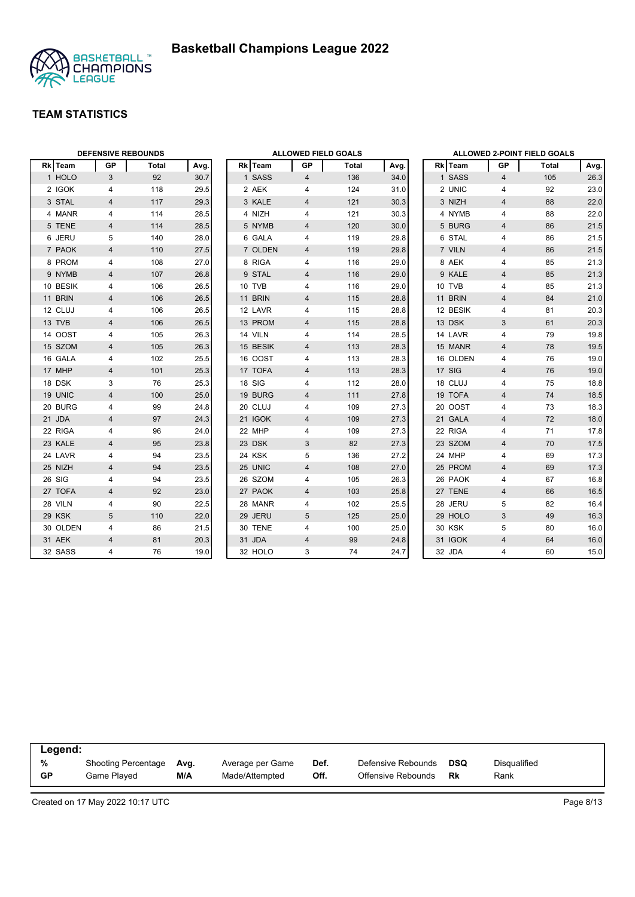

|          | <b>DEFENSIVE REBOUNDS</b> |       |      | <b>ALLOWED FIELD GOALS</b> |          |                |       |      | ALLOWED 2-POINT FIELD GOALS |          |                |       |      |
|----------|---------------------------|-------|------|----------------------------|----------|----------------|-------|------|-----------------------------|----------|----------------|-------|------|
| Rk Team  | GP                        | Total | Avg. |                            | Rk Team  | GP             | Total | Avg. |                             | Rk Team  | <b>GP</b>      | Total | Avg. |
| 1 HOLO   | 3                         | 92    | 30.7 |                            | 1 SASS   | $\overline{4}$ | 136   | 34.0 |                             | 1 SASS   | $\overline{4}$ | 105   | 26.3 |
| 2 IGOK   | 4                         | 118   | 29.5 |                            | 2 AEK    | 4              | 124   | 31.0 |                             | 2 UNIC   | $\overline{4}$ | 92    | 23.0 |
| 3 STAL   | $\overline{4}$            | 117   | 29.3 |                            | 3 KALE   | $\overline{4}$ | 121   | 30.3 |                             | 3 NIZH   | $\overline{4}$ | 88    | 22.0 |
| 4 MANR   | 4                         | 114   | 28.5 |                            | 4 NIZH   | 4              | 121   | 30.3 |                             | 4 NYMB   | 4              | 88    | 22.0 |
| 5 TENE   | 4                         | 114   | 28.5 |                            | 5 NYMB   | 4              | 120   | 30.0 |                             | 5 BURG   | $\overline{4}$ | 86    | 21.5 |
| 6 JERU   | 5                         | 140   | 28.0 |                            | 6 GALA   | 4              | 119   | 29.8 |                             | 6 STAL   | 4              | 86    | 21.5 |
| 7 PAOK   | 4                         | 110   | 27.5 |                            | 7 OLDEN  | 4              | 119   | 29.8 |                             | 7 VILN   | 4              | 86    | 21.5 |
| 8 PROM   | 4                         | 108   | 27.0 |                            | 8 RIGA   | 4              | 116   | 29.0 |                             | 8 AEK    | 4              | 85    | 21.3 |
| 9 NYMB   | 4                         | 107   | 26.8 |                            | 9 STAL   | 4              | 116   | 29.0 |                             | 9 KALE   | $\overline{4}$ | 85    | 21.3 |
| 10 BESIK | 4                         | 106   | 26.5 |                            | 10 TVB   | 4              | 116   | 29.0 |                             | 10 TVB   | 4              | 85    | 21.3 |
| 11 BRIN  | 4                         | 106   | 26.5 |                            | 11 BRIN  | 4              | 115   | 28.8 |                             | 11 BRIN  | $\overline{4}$ | 84    | 21.0 |
| 12 CLUJ  | 4                         | 106   | 26.5 |                            | 12 LAVR  | 4              | 115   | 28.8 |                             | 12 BESIK | 4              | 81    | 20.3 |
| 13 TVB   | $\overline{\mathbf{4}}$   | 106   | 26.5 |                            | 13 PROM  | $\overline{4}$ | 115   | 28.8 |                             | 13 DSK   | 3              | 61    | 20.3 |
| 14 OOST  | 4                         | 105   | 26.3 |                            | 14 VILN  | 4              | 114   | 28.5 |                             | 14 LAVR  | 4              | 79    | 19.8 |
| 15 SZOM  | 4                         | 105   | 26.3 |                            | 15 BESIK | 4              | 113   | 28.3 |                             | 15 MANR  | 4              | 78    | 19.5 |
| 16 GALA  | 4                         | 102   | 25.5 |                            | 16 OOST  | 4              | 113   | 28.3 |                             | 16 OLDEN | $\overline{4}$ | 76    | 19.0 |
| 17 MHP   | 4                         | 101   | 25.3 |                            | 17 TOFA  | $\overline{4}$ | 113   | 28.3 |                             | 17 SIG   | $\overline{4}$ | 76    | 19.0 |
| 18 DSK   | 3                         | 76    | 25.3 |                            | 18 SIG   | 4              | 112   | 28.0 |                             | 18 CLUJ  | 4              | 75    | 18.8 |
| 19 UNIC  | $\overline{4}$            | 100   | 25.0 |                            | 19 BURG  | $\overline{4}$ | 111   | 27.8 |                             | 19 TOFA  | $\overline{4}$ | 74    | 18.5 |
| 20 BURG  | 4                         | 99    | 24.8 |                            | 20 CLUJ  | 4              | 109   | 27.3 |                             | 20 OOST  | 4              | 73    | 18.3 |
| 21 JDA   | 4                         | 97    | 24.3 |                            | 21 IGOK  | 4              | 109   | 27.3 |                             | 21 GALA  | $\overline{4}$ | 72    | 18.0 |
| 22 RIGA  | 4                         | 96    | 24.0 |                            | 22 MHP   | 4              | 109   | 27.3 |                             | 22 RIGA  | $\overline{4}$ | 71    | 17.8 |
| 23 KALE  | 4                         | 95    | 23.8 |                            | 23 DSK   | 3              | 82    | 27.3 |                             | 23 SZOM  | $\overline{4}$ | 70    | 17.5 |
| 24 LAVR  | 4                         | 94    | 23.5 |                            | 24 KSK   | 5              | 136   | 27.2 |                             | 24 MHP   | $\overline{4}$ | 69    | 17.3 |
| 25 NIZH  | 4                         | 94    | 23.5 |                            | 25 UNIC  | 4              | 108   | 27.0 |                             | 25 PROM  | $\overline{4}$ | 69    | 17.3 |
| 26 SIG   | 4                         | 94    | 23.5 |                            | 26 SZOM  | 4              | 105   | 26.3 |                             | 26 PAOK  | 4              | 67    | 16.8 |
| 27 TOFA  | 4                         | 92    | 23.0 |                            | 27 PAOK  | 4              | 103   | 25.8 |                             | 27 TENE  | $\overline{4}$ | 66    | 16.5 |
| 28 VILN  | 4                         | 90    | 22.5 |                            | 28 MANR  | 4              | 102   | 25.5 |                             | 28 JERU  | 5              | 82    | 16.4 |
| 29 KSK   | 5                         | 110   | 22.0 |                            | 29 JERU  | 5              | 125   | 25.0 |                             | 29 HOLO  | 3              | 49    | 16.3 |
| 30 OLDEN | 4                         | 86    | 21.5 |                            | 30 TENE  | 4              | 100   | 25.0 |                             | 30 KSK   | 5              | 80    | 16.0 |
| 31 AEK   | $\overline{4}$            | 81    | 20.3 |                            | 31 JDA   | $\overline{4}$ | 99    | 24.8 |                             | 31 IGOK  | $\overline{4}$ | 64    | 16.0 |
| 32 SASS  | 4                         | 76    | 19.0 |                            | 32 HOLO  | 3              | 74    | 24.7 |                             | 32 JDA   | 4              | 60    | 15.0 |

| Legend:   |                            |      |                  |      |                    |           |              |  |
|-----------|----------------------------|------|------------------|------|--------------------|-----------|--------------|--|
| %         | <b>Shooting Percentage</b> | Ava. | Average per Game | Def. | Defensive Rebounds | DSQ       | Disqualified |  |
| <b>GP</b> | Game Played                | M/A  | Made/Attempted   | Off. | Offensive Rebounds | <b>Rk</b> | Rank         |  |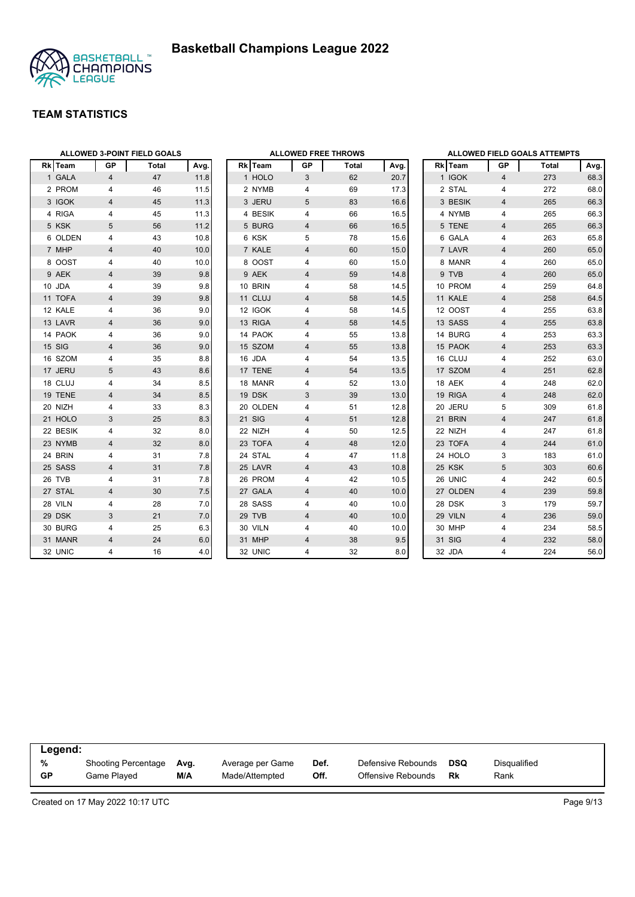

|          | <b>ALLOWED 3-POINT FIELD GOALS</b> |              | <b>ALLOWED FREE THROWS</b> |  |          |                |       |      | ALLOWED FIELD GOALS ATTEMPTS |          |                         |       |      |
|----------|------------------------------------|--------------|----------------------------|--|----------|----------------|-------|------|------------------------------|----------|-------------------------|-------|------|
| Rk Team  | GP                                 | <b>Total</b> | Avg.                       |  | Rk Team  | <b>GP</b>      | Total | Avg. |                              | Rk Team  | GP                      | Total | Avg. |
| 1 GALA   | $\overline{4}$                     | 47           | 11.8                       |  | 1 HOLO   | 3              | 62    | 20.7 |                              | 1 IGOK   | 4                       | 273   | 68.3 |
| 2 PROM   | 4                                  | 46           | 11.5                       |  | 2 NYMB   | 4              | 69    | 17.3 |                              | 2 STAL   | 4                       | 272   | 68.0 |
| 3 IGOK   | $\overline{4}$                     | 45           | 11.3                       |  | 3 JERU   | 5              | 83    | 16.6 |                              | 3 BESIK  | $\overline{4}$          | 265   | 66.3 |
| 4 RIGA   | 4                                  | 45           | 11.3                       |  | 4 BESIK  | 4              | 66    | 16.5 |                              | 4 NYMB   | 4                       | 265   | 66.3 |
| 5 KSK    | 5                                  | 56           | 11.2                       |  | 5 BURG   | $\overline{4}$ | 66    | 16.5 |                              | 5 TENE   | $\overline{4}$          | 265   | 66.3 |
| 6 OLDEN  | 4                                  | 43           | 10.8                       |  | 6 KSK    | 5              | 78    | 15.6 |                              | 6 GALA   | 4                       | 263   | 65.8 |
| 7 MHP    | $\overline{4}$                     | 40           | 10.0                       |  | 7 KALE   | $\overline{4}$ | 60    | 15.0 |                              | 7 LAVR   | $\overline{4}$          | 260   | 65.0 |
| 8 OOST   | 4                                  | 40           | 10.0                       |  | 8 OOST   | 4              | 60    | 15.0 |                              | 8 MANR   | 4                       | 260   | 65.0 |
| 9 AEK    | 4                                  | 39           | 9.8                        |  | 9 AEK    | 4              | 59    | 14.8 |                              | 9 TVB    | $\overline{4}$          | 260   | 65.0 |
| 10 JDA   | 4                                  | 39           | 9.8                        |  | 10 BRIN  | 4              | 58    | 14.5 |                              | 10 PROM  | 4                       | 259   | 64.8 |
| 11 TOFA  | 4                                  | 39           | 9.8                        |  | 11 CLUJ  | $\overline{4}$ | 58    | 14.5 |                              | 11 KALE  | $\overline{4}$          | 258   | 64.5 |
| 12 KALE  | 4                                  | 36           | 9.0                        |  | 12 IGOK  | 4              | 58    | 14.5 |                              | 12 OOST  | 4                       | 255   | 63.8 |
| 13 LAVR  | 4                                  | 36           | 9.0                        |  | 13 RIGA  | $\overline{4}$ | 58    | 14.5 |                              | 13 SASS  | $\overline{4}$          | 255   | 63.8 |
| 14 PAOK  | 4                                  | 36           | 9.0                        |  | 14 PAOK  | 4              | 55    | 13.8 |                              | 14 BURG  | 4                       | 253   | 63.3 |
| 15 SIG   | 4                                  | 36           | 9.0                        |  | 15 SZOM  | $\overline{4}$ | 55    | 13.8 |                              | 15 PAOK  | $\overline{4}$          | 253   | 63.3 |
| 16 SZOM  | 4                                  | 35           | 8.8                        |  | 16 JDA   | 4              | 54    | 13.5 |                              | 16 CLUJ  | 4                       | 252   | 63.0 |
| 17 JERU  | 5                                  | 43           | 8.6                        |  | 17 TENE  | $\overline{4}$ | 54    | 13.5 |                              | 17 SZOM  | $\overline{4}$          | 251   | 62.8 |
| 18 CLUJ  | 4                                  | 34           | 8.5                        |  | 18 MANR  | 4              | 52    | 13.0 |                              | 18 AEK   | 4                       | 248   | 62.0 |
| 19 TENE  | 4                                  | 34           | 8.5                        |  | 19 DSK   | 3              | 39    | 13.0 |                              | 19 RIGA  | 4                       | 248   | 62.0 |
| 20 NIZH  | 4                                  | 33           | 8.3                        |  | 20 OLDEN | 4              | 51    | 12.8 |                              | 20 JERU  | 5                       | 309   | 61.8 |
| 21 HOLO  | 3                                  | 25           | 8.3                        |  | 21 SIG   | $\overline{4}$ | 51    | 12.8 |                              | 21 BRIN  | $\overline{4}$          | 247   | 61.8 |
| 22 BESIK | 4                                  | 32           | 8.0                        |  | 22 NIZH  | 4              | 50    | 12.5 |                              | 22 NIZH  | 4                       | 247   | 61.8 |
| 23 NYMB  | $\overline{4}$                     | 32           | 8.0                        |  | 23 TOFA  | $\overline{4}$ | 48    | 12.0 |                              | 23 TOFA  | $\overline{\mathbf{4}}$ | 244   | 61.0 |
| 24 BRIN  | 4                                  | 31           | 7.8                        |  | 24 STAL  | 4              | 47    | 11.8 |                              | 24 HOLO  | 3                       | 183   | 61.0 |
| 25 SASS  | 4                                  | 31           | 7.8                        |  | 25 LAVR  | $\overline{4}$ | 43    | 10.8 |                              | 25 KSK   | 5                       | 303   | 60.6 |
| 26 TVB   | 4                                  | 31           | 7.8                        |  | 26 PROM  | 4              | 42    | 10.5 |                              | 26 UNIC  | 4                       | 242   | 60.5 |
| 27 STAL  | 4                                  | 30           | 7.5                        |  | 27 GALA  | 4              | 40    | 10.0 |                              | 27 OLDEN | $\overline{4}$          | 239   | 59.8 |
| 28 VILN  | 4                                  | 28           | 7.0                        |  | 28 SASS  | 4              | 40    | 10.0 |                              | 28 DSK   | 3                       | 179   | 59.7 |
| 29 DSK   | 3                                  | 21           | 7.0                        |  | 29 TVB   | 4              | 40    | 10.0 |                              | 29 VILN  | $\overline{4}$          | 236   | 59.0 |
| 30 BURG  | 4                                  | 25           | 6.3                        |  | 30 VILN  | 4              | 40    | 10.0 |                              | 30 MHP   | 4                       | 234   | 58.5 |
| 31 MANR  | 4                                  | 24           | 6.0                        |  | 31 MHP   | 4              | 38    | 9.5  |                              | 31 SIG   | $\overline{\mathbf{4}}$ | 232   | 58.0 |
| 32 UNIC  | 4                                  | 16           | 4.0                        |  | 32 UNIC  | 4              | 32    | 8.0  |                              | 32 JDA   | $\overline{4}$          | 224   | 56.0 |

|           | Legend:             |      |                  |      |                    |            |              |  |  |  |  |  |
|-----------|---------------------|------|------------------|------|--------------------|------------|--------------|--|--|--|--|--|
| %         | Shooting Percentage | Ava. | Average per Game | Def. | Defensive Rebounds | <b>DSQ</b> | Disqualified |  |  |  |  |  |
| <b>GP</b> | Game Played         | M/A  | Made/Attempted   | Off. | Offensive Rebounds | <b>Rk</b>  | Rank         |  |  |  |  |  |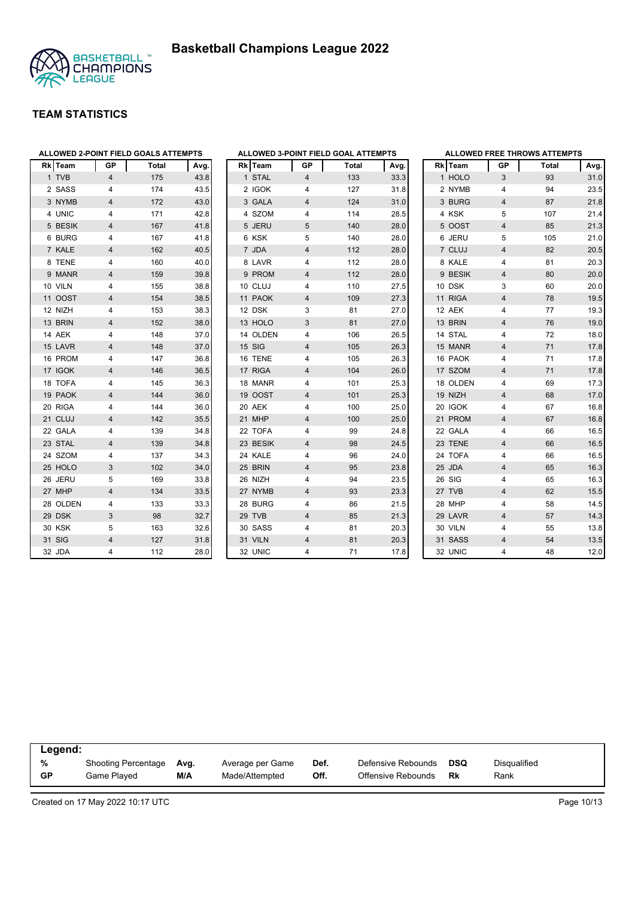



| <b>Rk</b> | Team     | <b>GP</b>               | <b>Total</b> | Avg. | <b>Rk</b> Team | GР                      |
|-----------|----------|-------------------------|--------------|------|----------------|-------------------------|
|           | 1 TVB    | 4                       | 175          | 43.8 | 1 STAL         | $\overline{\mathbf{4}}$ |
|           | 2 SASS   | 4                       | 174          | 43.5 | 2 IGOK         | 4                       |
|           | 3 NYMB   | 4                       | 172          | 43.0 | 3 GALA         | $\overline{4}$          |
|           | 4 UNIC   | 4                       | 171          | 42.8 | 4 SZOM         | 4                       |
|           | 5 BESIK  | 4                       | 167          | 41.8 | 5 JERU         | 5                       |
|           | 6 BURG   | 4                       | 167          | 41.8 | 6 KSK          | 5                       |
|           | 7 KALE   | 4                       | 162          | 40.5 | 7 JDA          | 4                       |
|           | 8 TENE   | 4                       | 160          | 40.0 | 8 LAVR         | 4                       |
|           | 9 MANR   | $\overline{\mathbf{4}}$ | 159          | 39.8 | 9 PROM         | 4                       |
|           | 10 VILN  | 4                       | 155          | 38.8 | 10 CLUJ        | 4                       |
|           | 11 OOST  | 4                       | 154          | 38.5 | 11 PAOK        | 4                       |
|           | 12 NIZH  | 4                       | 153          | 38.3 | 12 DSK         | 3                       |
|           | 13 BRIN  | 4                       | 152          | 38.0 | 13 HOLO        | 3                       |
|           | 14 AEK   | 4                       | 148          | 37.0 | 14 OLDEN       | 4                       |
|           | 15 LAVR  | $\overline{\mathbf{4}}$ | 148          | 37.0 | 15 SIG         | 4                       |
|           | 16 PROM  | 4                       | 147          | 36.8 | 16 TENE        | 4                       |
|           | 17 IGOK  | 4                       | 146          | 36.5 | 17 RIGA        | 4                       |
|           | 18 TOFA  | 4                       | 145          | 36.3 | 18 MANR        | 4                       |
|           | 19 PAOK  | 4                       | 144          | 36.0 | 19 OOST        | 4                       |
|           | 20 RIGA  | 4                       | 144          | 36.0 | 20 AEK         | 4                       |
|           | 21 CLUJ  | 4                       | 142          | 35.5 | 21 MHP         | 4                       |
|           | 22 GALA  | 4                       | 139          | 34.8 | 22 TOFA        | 4                       |
|           | 23 STAL  | 4                       | 139          | 34.8 | 23 BESIK       | 4                       |
|           | 24 SZOM  | 4                       | 137          | 34.3 | 24 KALE        | 4                       |
|           | 25 HOLO  | 3                       | 102          | 34.0 | 25 BRIN        | 4                       |
|           | 26 JERU  | 5                       | 169          | 33.8 | 26 NIZH        | 4                       |
|           | 27 MHP   | 4                       | 134          | 33.5 | 27 NYMB        | 4                       |
|           | 28 OLDEN | 4                       | 133          | 33.3 | 28 BURG        | 4                       |
|           | 29 DSK   | 3                       | 98           | 32.7 | 29 TVB         | 4                       |
|           | 30 KSK   | 5                       | 163          | 32.6 | 30 SASS        | 4                       |
|           | 31 SIG   | 4                       | 127          | 31.8 | 31 VILN        | $\overline{4}$          |
|           | 32 JDA   | 4                       | 112          | 28.0 | 32 UNIC        | 4                       |

| ALLOWED 3-POINT FIELD GOAL ATTEMPTS |             |                         |              |      |  |  |  |  |  |  |  |
|-------------------------------------|-------------|-------------------------|--------------|------|--|--|--|--|--|--|--|
|                                     | Rk Team     | GP                      | <b>Total</b> | Avg. |  |  |  |  |  |  |  |
| $\mathbf{1}$                        | <b>STAL</b> | 4                       | 133          | 33.3 |  |  |  |  |  |  |  |
|                                     | 2 IGOK      | 4                       | 127          | 31.8 |  |  |  |  |  |  |  |
|                                     | 3 GALA      | 4                       | 124          | 31.0 |  |  |  |  |  |  |  |
| 4                                   | <b>SZOM</b> | 4                       | 114          | 28.5 |  |  |  |  |  |  |  |
| 5                                   | <b>JERU</b> | 5                       | 140          | 28.0 |  |  |  |  |  |  |  |
|                                     | 6 KSK       | 5                       | 140          | 28.0 |  |  |  |  |  |  |  |
| $\overline{7}$                      | <b>JDA</b>  | $\overline{4}$          | 112          | 28.0 |  |  |  |  |  |  |  |
|                                     | 8 LAVR      | 4                       | 112          | 28.0 |  |  |  |  |  |  |  |
|                                     | 9 PROM      | $\overline{\mathbf{4}}$ | 112          | 28.0 |  |  |  |  |  |  |  |
|                                     | 10 CLUJ     | 4                       | 110          | 27.5 |  |  |  |  |  |  |  |
| 11                                  | <b>PAOK</b> | 4                       | 109          | 27.3 |  |  |  |  |  |  |  |
|                                     | 12 DSK      | 3                       | 81           | 27.0 |  |  |  |  |  |  |  |
|                                     | 13 HOLO     | 3                       | 81           | 27.0 |  |  |  |  |  |  |  |
|                                     | 14 OLDEN    | 4                       | 106          | 26.5 |  |  |  |  |  |  |  |
|                                     | 15 SIG      | 4                       | 105          | 26.3 |  |  |  |  |  |  |  |
|                                     | 16 TENE     | 4                       | 105          | 26.3 |  |  |  |  |  |  |  |
|                                     | 17 RIGA     | 4                       | 104          | 26.0 |  |  |  |  |  |  |  |
|                                     | 18 MANR     | $\overline{\mathbf{4}}$ | 101          | 25.3 |  |  |  |  |  |  |  |
|                                     | 19 OOST     | $\overline{4}$          | 101          | 25.3 |  |  |  |  |  |  |  |
|                                     | 20 AEK      | 4                       | 100          | 25.0 |  |  |  |  |  |  |  |
| 21                                  | <b>MHP</b>  | 4                       | 100          | 25.0 |  |  |  |  |  |  |  |
|                                     | 22 TOFA     | 4                       | 99           | 24.8 |  |  |  |  |  |  |  |
|                                     | 23 BESIK    | $\overline{4}$          | 98           | 24.5 |  |  |  |  |  |  |  |
|                                     | 24 KALE     | 4                       | 96           | 24.0 |  |  |  |  |  |  |  |
|                                     | 25 BRIN     | 4                       | 95           | 23.8 |  |  |  |  |  |  |  |
|                                     | 26 NIZH     | 4                       | 94           | 23.5 |  |  |  |  |  |  |  |
| 27                                  | <b>NYMB</b> | 4                       | 93           | 23.3 |  |  |  |  |  |  |  |
| 28                                  | <b>BURG</b> | 4                       | 86           | 21.5 |  |  |  |  |  |  |  |
|                                     | 29 TVB      | $\overline{4}$          | 85           | 21.3 |  |  |  |  |  |  |  |
|                                     | 30 SASS     | 4                       | 81           | 20.3 |  |  |  |  |  |  |  |
|                                     | 31 VILN     | $\overline{4}$          | 81           | 20.3 |  |  |  |  |  |  |  |
| 32                                  | <b>UNIC</b> | 4                       | 71           | 17.8 |  |  |  |  |  |  |  |

| <b>ALLOWED FREE THROWS ATTEMPTS</b> |             |                         |              |      |  |  |  |  |  |  |  |
|-------------------------------------|-------------|-------------------------|--------------|------|--|--|--|--|--|--|--|
|                                     | Rk Team     | <b>GP</b>               | <b>Total</b> | Avg. |  |  |  |  |  |  |  |
|                                     | 1 HOLO      | 3                       | 93           | 31.0 |  |  |  |  |  |  |  |
|                                     | 2 NYMB      | 4                       | 94           | 23.5 |  |  |  |  |  |  |  |
|                                     | 3 BURG      | $\overline{4}$          | 87           | 21.8 |  |  |  |  |  |  |  |
| $\overline{4}$                      | <b>KSK</b>  | 5                       | 107          | 21.4 |  |  |  |  |  |  |  |
| 5                                   | <b>OOST</b> | $\overline{\mathbf{4}}$ | 85           | 21.3 |  |  |  |  |  |  |  |
| 6                                   | <b>JERU</b> | 5                       | 105          | 21.0 |  |  |  |  |  |  |  |
|                                     | 7 CLUJ      | $\overline{\mathbf{4}}$ | 82           | 20.5 |  |  |  |  |  |  |  |
|                                     | 8 KALE      | 4                       | 81           | 20.3 |  |  |  |  |  |  |  |
|                                     | 9 BESIK     | $\overline{\mathbf{4}}$ | 80           | 20.0 |  |  |  |  |  |  |  |
|                                     | 10 DSK      | 3                       | 60           | 20.0 |  |  |  |  |  |  |  |
|                                     | 11 RIGA     | $\overline{4}$          | 78           | 19.5 |  |  |  |  |  |  |  |
|                                     | 12 AEK      | 4                       | 77           | 19.3 |  |  |  |  |  |  |  |
|                                     | 13 BRIN     | $\overline{\mathbf{4}}$ | 76           | 19.0 |  |  |  |  |  |  |  |
|                                     | 14 STAL     | 4                       | 72           | 18.0 |  |  |  |  |  |  |  |
|                                     | 15 MANR     | $\overline{4}$          | 71           | 17.8 |  |  |  |  |  |  |  |
|                                     | 16 PAOK     | 4                       | 71           | 17.8 |  |  |  |  |  |  |  |
|                                     | 17 SZOM     | $\overline{\mathbf{4}}$ | 71           | 17.8 |  |  |  |  |  |  |  |
|                                     | 18 OLDEN    | $\overline{\mathbf{4}}$ | 69           | 17.3 |  |  |  |  |  |  |  |
|                                     | 19 NIZH     | $\overline{\mathbf{4}}$ | 68           | 17.0 |  |  |  |  |  |  |  |
|                                     | 20 IGOK     | 4                       | 67           | 16.8 |  |  |  |  |  |  |  |
|                                     | 21 PROM     | $\overline{\mathbf{4}}$ | 67           | 16.8 |  |  |  |  |  |  |  |
|                                     | 22 GALA     | 4                       | 66           | 16.5 |  |  |  |  |  |  |  |
|                                     | 23 TENE     | $\overline{4}$          | 66           | 16.5 |  |  |  |  |  |  |  |
|                                     | 24 TOFA     | 4                       | 66           | 16.5 |  |  |  |  |  |  |  |
| 25                                  | <b>JDA</b>  | $\overline{\mathbf{4}}$ | 65           | 16.3 |  |  |  |  |  |  |  |
| 26                                  | SIG         | 4                       | 65           | 16.3 |  |  |  |  |  |  |  |
| 27                                  | <b>TVB</b>  | $\overline{\mathbf{4}}$ | 62           | 15.5 |  |  |  |  |  |  |  |
|                                     | 28 MHP      | 4                       | 58           | 14.5 |  |  |  |  |  |  |  |
| 29                                  | LAVR        | $\overline{\mathbf{4}}$ | 57           | 14.3 |  |  |  |  |  |  |  |
|                                     | 30 VILN     | 4                       | 55           | 13.8 |  |  |  |  |  |  |  |
|                                     | 31 SASS     | $\overline{\mathbf{4}}$ | 54           | 13.5 |  |  |  |  |  |  |  |
|                                     | 32 UNIC     | 4                       | 48           | 12.0 |  |  |  |  |  |  |  |

| Legend:   |                     |      |                  |      |                    |     |              |  |
|-----------|---------------------|------|------------------|------|--------------------|-----|--------------|--|
| %         | Shooting Percentage | Avg. | Average per Game | Def. | Defensive Rebounds | DSQ | Disqualified |  |
| <b>GP</b> | Game Plaved         | M/A  | Made/Attempted   | Off. | Offensive Rebounds | Rk  | Rank         |  |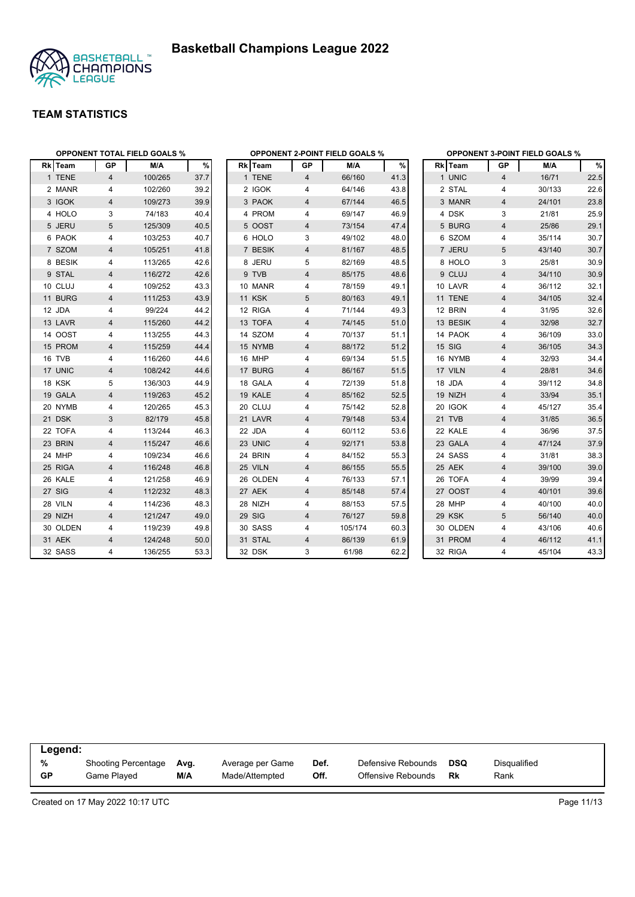



|          | <b>OPPONENT TOTAL FIELD GOALS %</b> |         |      |               |                | <b>OPPONENT 2-POINT FIELD GOALS %</b> |      | <b>OPPONENT 3-POINT FIELD GOALS %</b> |                |        |      |  |
|----------|-------------------------------------|---------|------|---------------|----------------|---------------------------------------|------|---------------------------------------|----------------|--------|------|--|
| Rk Team  | GP                                  | M/A     | %    | Rk Team       | GP             | M/A                                   | %    | Rk Team                               | GP             | M/A    | %    |  |
| 1 TENE   | $\overline{4}$                      | 100/265 | 37.7 | 1 TENE        | $\overline{4}$ | 66/160                                | 41.3 | 1 UNIC                                | $\overline{4}$ | 16/71  | 22.5 |  |
| 2 MANR   | 4                                   | 102/260 | 39.2 | 2 IGOK        | 4              | 64/146                                | 43.8 | 2 STAL                                | 4              | 30/133 | 22.6 |  |
| 3 IGOK   | 4                                   | 109/273 | 39.9 | 3 PAOK        | 4              | 67/144                                | 46.5 | 3 MANR                                | 4              | 24/101 | 23.8 |  |
| 4 HOLO   | 3                                   | 74/183  | 40.4 | 4 PROM        | 4              | 69/147                                | 46.9 | 4 DSK                                 | 3              | 21/81  | 25.9 |  |
| 5 JERU   | 5                                   | 125/309 | 40.5 | 5 OOST        | 4              | 73/154                                | 47.4 | 5 BURG                                | 4              | 25/86  | 29.1 |  |
| 6 PAOK   | 4                                   | 103/253 | 40.7 | 6 HOLO        | 3              | 49/102                                | 48.0 | 6 SZOM                                | 4              | 35/114 | 30.7 |  |
| 7 SZOM   | 4                                   | 105/251 | 41.8 | 7 BESIK       | 4              | 81/167                                | 48.5 | 7 JERU                                | 5              | 43/140 | 30.7 |  |
| 8 BESIK  | 4                                   | 113/265 | 42.6 | 8 JERU        | 5              | 82/169                                | 48.5 | 8 HOLO                                | 3              | 25/81  | 30.9 |  |
| 9 STAL   | 4                                   | 116/272 | 42.6 | 9 TVB         | $\overline{4}$ | 85/175                                | 48.6 | 9 CLUJ                                | $\overline{4}$ | 34/110 | 30.9 |  |
| 10 CLUJ  | 4                                   | 109/252 | 43.3 | 10 MANR       | 4              | 78/159                                | 49.1 | 10 LAVR                               | 4              | 36/112 | 32.1 |  |
| 11 BURG  | 4                                   | 111/253 | 43.9 | <b>11 KSK</b> | 5              | 80/163                                | 49.1 | 11 TENE                               | $\overline{4}$ | 34/105 | 32.4 |  |
| 12 JDA   | 4                                   | 99/224  | 44.2 | 12 RIGA       | 4              | 71/144                                | 49.3 | 12 BRIN                               | 4              | 31/95  | 32.6 |  |
| 13 LAVR  | 4                                   | 115/260 | 44.2 | 13 TOFA       | 4              | 74/145                                | 51.0 | 13 BESIK                              | 4              | 32/98  | 32.7 |  |
| 14 OOST  | 4                                   | 113/255 | 44.3 | 14 SZOM       | 4              | 70/137                                | 51.1 | 14 PAOK                               | 4              | 36/109 | 33.0 |  |
| 15 PROM  | 4                                   | 115/259 | 44.4 | 15 NYMB       | 4              | 88/172                                | 51.2 | 15 SIG                                | $\overline{4}$ | 36/105 | 34.3 |  |
| 16 TVB   | 4                                   | 116/260 | 44.6 | 16 MHP        | 4              | 69/134                                | 51.5 | 16 NYMB                               | 4              | 32/93  | 34.4 |  |
| 17 UNIC  | $\overline{4}$                      | 108/242 | 44.6 | 17 BURG       | 4              | 86/167                                | 51.5 | 17 VILN                               | $\overline{4}$ | 28/81  | 34.6 |  |
| 18 KSK   | 5                                   | 136/303 | 44.9 | 18 GALA       | 4              | 72/139                                | 51.8 | 18 JDA                                | 4              | 39/112 | 34.8 |  |
| 19 GALA  | 4                                   | 119/263 | 45.2 | 19 KALE       | 4              | 85/162                                | 52.5 | 19 NIZH                               | 4              | 33/94  | 35.1 |  |
| 20 NYMB  | 4                                   | 120/265 | 45.3 | 20 CLUJ       | 4              | 75/142                                | 52.8 | 20 IGOK                               | 4              | 45/127 | 35.4 |  |
| 21 DSK   | 3                                   | 82/179  | 45.8 | 21 LAVR       | 4              | 79/148                                | 53.4 | 21 TVB                                | $\overline{4}$ | 31/85  | 36.5 |  |
| 22 TOFA  | 4                                   | 113/244 | 46.3 | 22 JDA        | 4              | 60/112                                | 53.6 | 22 KALE                               | 4              | 36/96  | 37.5 |  |
| 23 BRIN  | 4                                   | 115/247 | 46.6 | 23 UNIC       | 4              | 92/171                                | 53.8 | 23 GALA                               | $\overline{4}$ | 47/124 | 37.9 |  |
| 24 MHP   | 4                                   | 109/234 | 46.6 | 24 BRIN       | 4              | 84/152                                | 55.3 | 24 SASS                               | 4              | 31/81  | 38.3 |  |
| 25 RIGA  | 4                                   | 116/248 | 46.8 | 25 VILN       | 4              | 86/155                                | 55.5 | 25 AEK                                | $\overline{4}$ | 39/100 | 39.0 |  |
| 26 KALE  | 4                                   | 121/258 | 46.9 | 26 OLDEN      | 4              | 76/133                                | 57.1 | 26 TOFA                               | 4              | 39/99  | 39.4 |  |
| 27 SIG   | 4                                   | 112/232 | 48.3 | 27 AEK        | 4              | 85/148                                | 57.4 | 27 OOST                               | $\overline{4}$ | 40/101 | 39.6 |  |
| 28 VILN  | 4                                   | 114/236 | 48.3 | 28 NIZH       | 4              | 88/153                                | 57.5 | 28 MHP                                | 4              | 40/100 | 40.0 |  |
| 29 NIZH  | $\overline{4}$                      | 121/247 | 49.0 | 29 SIG        | $\overline{4}$ | 76/127                                | 59.8 | 29 KSK                                | 5              | 56/140 | 40.0 |  |
| 30 OLDEN | 4                                   | 119/239 | 49.8 | 30 SASS       | 4              | 105/174                               | 60.3 | 30 OLDEN                              | 4              | 43/106 | 40.6 |  |
| 31 AEK   | $\overline{4}$                      | 124/248 | 50.0 | 31 STAL       | $\overline{4}$ | 86/139                                | 61.9 | 31 PROM                               | $\overline{4}$ | 46/112 | 41.1 |  |
| 32 SASS  | 4                                   | 136/255 | 53.3 | 32 DSK        | 3              | 61/98                                 | 62.2 | 32 RIGA                               | $\overline{4}$ | 45/104 | 43.3 |  |

| Legend:   |                     |      |                  |      |                    |     |              |
|-----------|---------------------|------|------------------|------|--------------------|-----|--------------|
| %         | Shooting Percentage | Avg. | Average per Game | Def. | Defensive Rebounds | DSQ | Disgualified |
| <b>GP</b> | Game Plaved         | M/A  | Made/Attempted   | Off. | Offensive Rebounds | Rk  | Rank         |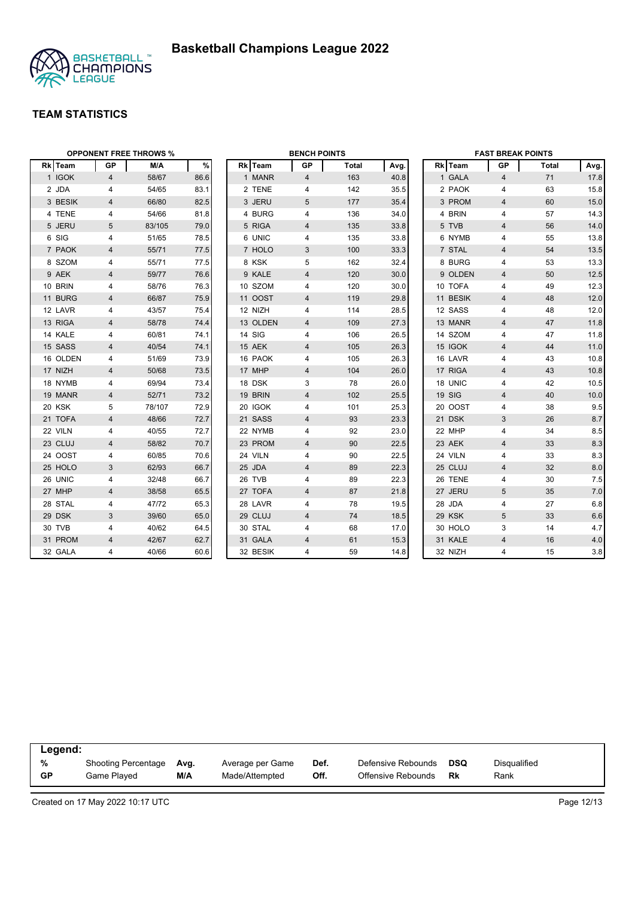



| <b>OPPONENT FREE THROWS %</b> |                |        |      | <b>BENCH POINTS</b> |          |                |              | <b>FAST BREAK POINTS</b> |  |          |                         |       |      |
|-------------------------------|----------------|--------|------|---------------------|----------|----------------|--------------|--------------------------|--|----------|-------------------------|-------|------|
| Rk Team                       | GP             | M/A    | %    |                     | Rk Team  | GP             | <b>Total</b> | Avg.                     |  | Rk Team  | GP                      | Total | Avg. |
| 1 IGOK                        | 4              | 58/67  | 86.6 |                     | 1 MANR   | $\overline{4}$ | 163          | 40.8                     |  | 1 GALA   | $\overline{4}$          | 71    | 17.8 |
| 2 JDA                         | 4              | 54/65  | 83.1 |                     | 2 TENE   | 4              | 142          | 35.5                     |  | 2 PAOK   | 4                       | 63    | 15.8 |
| 3 BESIK                       | 4              | 66/80  | 82.5 |                     | 3 JERU   | 5              | 177          | 35.4                     |  | 3 PROM   | $\overline{4}$          | 60    | 15.0 |
| 4 TENE                        | 4              | 54/66  | 81.8 |                     | 4 BURG   | 4              | 136          | 34.0                     |  | 4 BRIN   | 4                       | 57    | 14.3 |
| 5 JERU                        | 5              | 83/105 | 79.0 |                     | 5 RIGA   | 4              | 135          | 33.8                     |  | 5 TVB    | $\overline{4}$          | 56    | 14.0 |
| 6 SIG                         | 4              | 51/65  | 78.5 |                     | 6 UNIC   | 4              | 135          | 33.8                     |  | 6 NYMB   | 4                       | 55    | 13.8 |
| 7 PAOK                        | $\overline{4}$ | 55/71  | 77.5 |                     | 7 HOLO   | 3              | 100          | 33.3                     |  | 7 STAL   | $\overline{4}$          | 54    | 13.5 |
| 8 SZOM                        | 4              | 55/71  | 77.5 |                     | 8 KSK    | 5              | 162          | 32.4                     |  | 8 BURG   | 4                       | 53    | 13.3 |
| 9 AEK                         | 4              | 59/77  | 76.6 |                     | 9 KALE   | 4              | 120          | 30.0                     |  | 9 OLDEN  | $\overline{4}$          | 50    | 12.5 |
| 10 BRIN                       | 4              | 58/76  | 76.3 |                     | 10 SZOM  | 4              | 120          | 30.0                     |  | 10 TOFA  | 4                       | 49    | 12.3 |
| 11 BURG                       | 4              | 66/87  | 75.9 |                     | 11 OOST  | 4              | 119          | 29.8                     |  | 11 BESIK | $\overline{4}$          | 48    | 12.0 |
| 12 LAVR                       | 4              | 43/57  | 75.4 |                     | 12 NIZH  | 4              | 114          | 28.5                     |  | 12 SASS  | 4                       | 48    | 12.0 |
| 13 RIGA                       | 4              | 58/78  | 74.4 |                     | 13 OLDEN | 4              | 109          | 27.3                     |  | 13 MANR  | $\overline{\mathbf{4}}$ | 47    | 11.8 |
| 14 KALE                       | 4              | 60/81  | 74.1 |                     | 14 SIG   | 4              | 106          | 26.5                     |  | 14 SZOM  | $\overline{4}$          | 47    | 11.8 |
| 15 SASS                       | 4              | 40/54  | 74.1 |                     | 15 AEK   | 4              | 105          | 26.3                     |  | 15 IGOK  | $\overline{4}$          | 44    | 11.0 |
| 16 OLDEN                      | 4              | 51/69  | 73.9 |                     | 16 PAOK  | 4              | 105          | 26.3                     |  | 16 LAVR  | 4                       | 43    | 10.8 |
| 17 NIZH                       | $\overline{4}$ | 50/68  | 73.5 |                     | 17 MHP   | $\overline{4}$ | 104          | 26.0                     |  | 17 RIGA  | $\overline{4}$          | 43    | 10.8 |
| 18 NYMB                       | 4              | 69/94  | 73.4 |                     | 18 DSK   | 3              | 78           | 26.0                     |  | 18 UNIC  | 4                       | 42    | 10.5 |
| 19 MANR                       | 4              | 52/71  | 73.2 |                     | 19 BRIN  | 4              | 102          | 25.5                     |  | 19 SIG   | $\overline{4}$          | 40    | 10.0 |
| 20 KSK                        | 5              | 78/107 | 72.9 |                     | 20 IGOK  | 4              | 101          | 25.3                     |  | 20 OOST  | 4                       | 38    | 9.5  |
| 21 TOFA                       | 4              | 48/66  | 72.7 |                     | 21 SASS  | 4              | 93           | 23.3                     |  | 21 DSK   | 3                       | 26    | 8.7  |
| 22 VILN                       | 4              | 40/55  | 72.7 |                     | 22 NYMB  | 4              | 92           | 23.0                     |  | 22 MHP   | 4                       | 34    | 8.5  |
| 23 CLUJ                       | 4              | 58/82  | 70.7 |                     | 23 PROM  | 4              | 90           | 22.5                     |  | 23 AEK   | $\overline{\mathbf{4}}$ | 33    | 8.3  |
| 24 OOST                       | 4              | 60/85  | 70.6 |                     | 24 VILN  | 4              | 90           | 22.5                     |  | 24 VILN  | $\overline{4}$          | 33    | 8.3  |
| 25 HOLO                       | 3              | 62/93  | 66.7 |                     | 25 JDA   | 4              | 89           | 22.3                     |  | 25 CLUJ  | 4                       | 32    | 8.0  |
| 26 UNIC                       | 4              | 32/48  | 66.7 |                     | 26 TVB   | 4              | 89           | 22.3                     |  | 26 TENE  | 4                       | 30    | 7.5  |
| 27 MHP                        | $\overline{4}$ | 38/58  | 65.5 |                     | 27 TOFA  | 4              | 87           | 21.8                     |  | 27 JERU  | 5                       | 35    | 7.0  |
| 28 STAL                       | 4              | 47/72  | 65.3 |                     | 28 LAVR  | 4              | 78           | 19.5                     |  | 28 JDA   | 4                       | 27    | 6.8  |
| 29 DSK                        | 3              | 39/60  | 65.0 |                     | 29 CLUJ  | 4              | 74           | 18.5                     |  | 29 KSK   | 5                       | 33    | 6.6  |
| 30 TVB                        | 4              | 40/62  | 64.5 |                     | 30 STAL  | 4              | 68           | 17.0                     |  | 30 HOLO  | 3                       | 14    | 4.7  |
| 31 PROM                       | $\overline{4}$ | 42/67  | 62.7 |                     | 31 GALA  | $\overline{4}$ | 61           | 15.3                     |  | 31 KALE  | $\overline{4}$          | 16    | 4.0  |
| 32 GALA                       | 4              | 40/66  | 60.6 |                     | 32 BESIK | 4              | 59           | 14.8                     |  | 32 NIZH  | $\overline{4}$          | 15    | 3.8  |

| Legend: |                     |      |                  |      |                    |            |                     |  |  |
|---------|---------------------|------|------------------|------|--------------------|------------|---------------------|--|--|
| %       | Shooting Percentage | Avg. | Average per Game | Def. | Defensive Rebounds | <b>DSQ</b> | <b>Disqualified</b> |  |  |
| GP      | Game Plaved         | M/A  | Made/Attempted   | Off. | Offensive Rebounds | Rk         | Rank                |  |  |